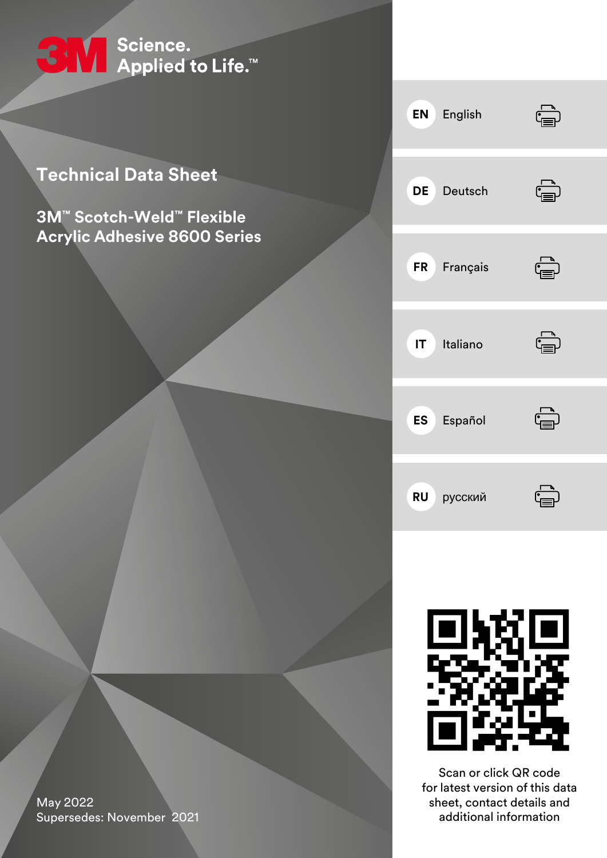

# **Technical Data Sheet**

**3M™ Scotch-Weld™ Flexible Acrylic Adhesive 8600 Series**





Scan or click QR code for latest version of this data sheet, contact details and additional information

May 2022 Supersedes: November 2021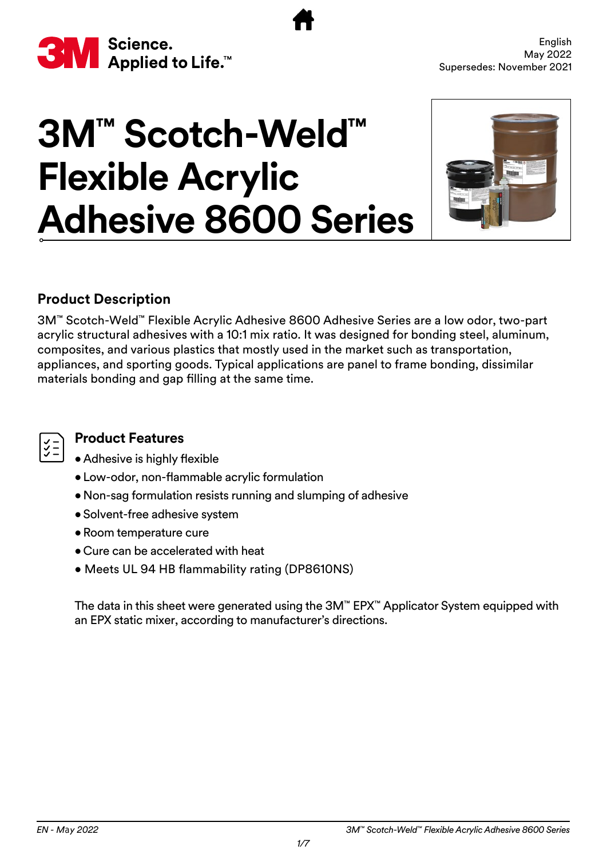<span id="page-1-0"></span>

# **3M™ Scotch-Weld™ Flexible Acrylic Adhesive 8600 Series**



# **Product Description**

3M™ Scotch-Weld™ Flexible Acrylic Adhesive 8600 Adhesive Series are a low odor, two-part acrylic structural adhesives with a 10:1 mix ratio. It was designed for bonding steel, aluminum, composites, and various plastics that mostly used in the market such as transportation, appliances, and sporting goods. Typical applications are panel to frame bonding, dissimilar materials bonding and gap filling at the same time.

# **Product Features**

- Adhesive is highly flexible
- Low-odor, non-flammable acrylic formulation
- •Non-sag formulation resists running and slumping of adhesive
- Solvent-free adhesive system
- •Room temperature cure
- Cure can be accelerated with heat
- Meets UL 94 HB flammability rating (DP8610NS)

The data in this sheet were generated using the 3M™ EPX™ Applicator System equipped with an EPX static mixer, according to manufacturer's directions.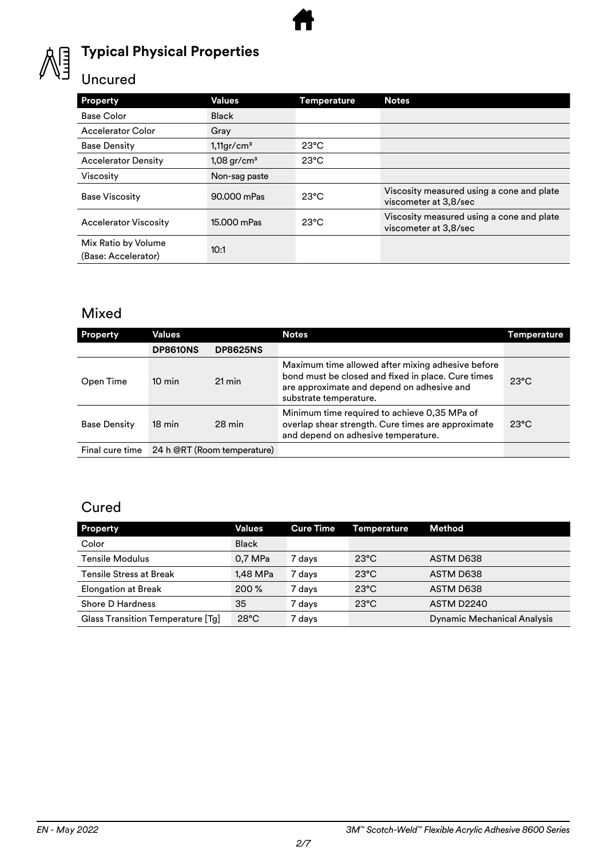

# **Typical Physical Properties**

# Uncured

| Property                                   | Values                    | Temperature    | <b>Notes</b>                                                       |
|--------------------------------------------|---------------------------|----------------|--------------------------------------------------------------------|
| <b>Base Color</b>                          | <b>Black</b>              |                |                                                                    |
| <b>Accelerator Color</b>                   | Gray                      |                |                                                                    |
| <b>Base Density</b>                        | $1,11$ gr/cm <sup>3</sup> | $23^{\circ}$ C |                                                                    |
| <b>Accelerator Density</b>                 | $1,08$ gr/cm <sup>3</sup> | $23^{\circ}$ C |                                                                    |
| Viscosity                                  | Non-sag paste             |                |                                                                    |
| <b>Base Viscosity</b>                      | 90.000 mPas               | $23^{\circ}$ C | Viscosity measured using a cone and plate<br>viscometer at 3,8/sec |
| <b>Accelerator Viscosity</b>               | 15.000 mPas               | $23^{\circ}$ C | Viscosity measured using a cone and plate<br>viscometer at 3,8/sec |
| Mix Ratio by Volume<br>(Base: Accelerator) | 10:1                      |                |                                                                    |

# Mixed

| <b>Property</b>     | <b>Values</b>               |                     | <b>Notes</b>                                                                                                                                                                    | Temperature    |
|---------------------|-----------------------------|---------------------|---------------------------------------------------------------------------------------------------------------------------------------------------------------------------------|----------------|
|                     | <b>DP8610NS</b>             | <b>DP8625NS</b>     |                                                                                                                                                                                 |                |
| Open Time           | $10 \text{ min}$            | $21 \,\mathrm{min}$ | Maximum time allowed after mixing adhesive before<br>bond must be closed and fixed in place. Cure times<br>are approximate and depend on adhesive and<br>substrate temperature. | $23^{\circ}$ C |
| <b>Base Density</b> | $18 \text{ min}$            | $28 \text{ min}$    | Minimum time required to achieve 0,35 MPa of<br>overlap shear strength. Cure times are approximate<br>and depend on adhesive temperature.                                       | $23^{\circ}$ C |
| Final cure time     | 24 h @RT (Room temperature) |                     |                                                                                                                                                                                 |                |

# **Cured**

| Property                          | Values         | <b>Cure Time</b> | <b>Temperature</b> | Method                             |
|-----------------------------------|----------------|------------------|--------------------|------------------------------------|
| Color                             | <b>Black</b>   |                  |                    |                                    |
| <b>Tensile Modulus</b>            | 0,7 MPa        | 7 days           | $23^{\circ}$ C     | ASTM D638                          |
| <b>Tensile Stress at Break</b>    | 1.48 MPa       | 7 days           | $23^{\circ}$ C     | ASTM D638                          |
| <b>Elongation at Break</b>        | 200 %          | 7 days           | $23^{\circ}$ C     | ASTM D638                          |
| <b>Shore D Hardness</b>           | 35             | 7 days           | $23^{\circ}$ C     | <b>ASTM D2240</b>                  |
| Glass Transition Temperature [Tg] | $28^{\circ}$ C | 7 days           |                    | <b>Dynamic Mechanical Analysis</b> |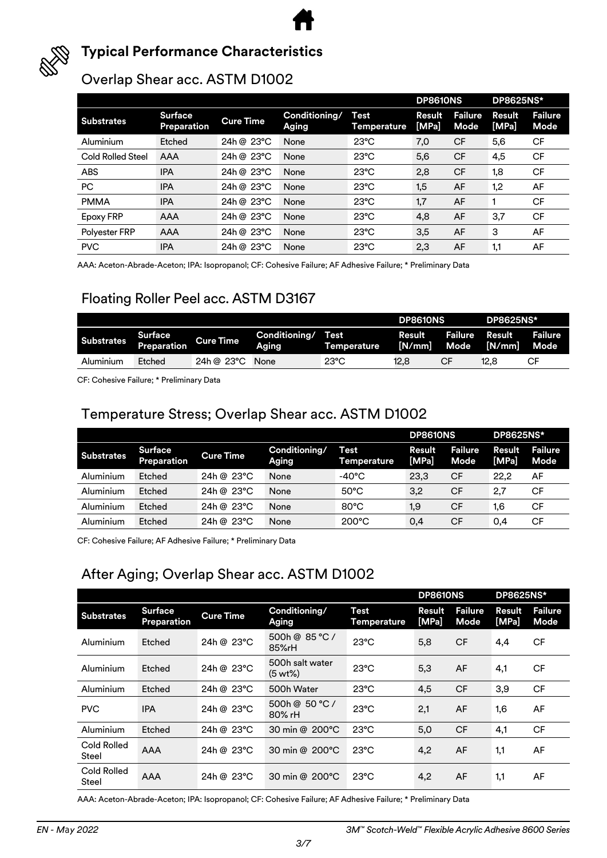

# **Typical Performance Characteristics**

# Overlap Shear acc. ASTM D1002

|                   |                               |                  |                        |                            | <b>DP8610NS</b> |                               | <b>DP8625NS*</b> |                        |
|-------------------|-------------------------------|------------------|------------------------|----------------------------|-----------------|-------------------------------|------------------|------------------------|
| <b>Substrates</b> | <b>Surface</b><br>Preparation | <b>Cure Time</b> | Conditioning/<br>Aging | Test<br><b>Temperature</b> | Result<br>[MPa] | <b>Failure</b><br><b>Mode</b> | Result<br>[MPa]  | <b>Failure</b><br>Mode |
| Aluminium         | Etched                        | 24h @ 23°C       | None                   | $23^{\circ}$ C             | 7,0             | CF                            | 5,6              | <b>CF</b>              |
| Cold Rolled Steel | AAA                           | 24h @ 23°C       | None                   | $23^{\circ}$ C             | 5,6             | <b>CF</b>                     | 4,5              | <b>CF</b>              |
| <b>ABS</b>        | <b>IPA</b>                    | 24h @ 23°C       | None                   | $23^{\circ}$ C             | 2,8             | CF                            | 1,8              | <b>CF</b>              |
| PC.               | <b>IPA</b>                    | 24h @ 23°C       | None                   | $23^{\circ}$ C             | 1,5             | AF                            | 1,2              | AF                     |
| <b>PMMA</b>       | <b>IPA</b>                    | 24h @ 23°C       | None                   | $23^{\circ}$ C             | 1,7             | AF                            |                  | <b>CF</b>              |
| Epoxy FRP         | <b>AAA</b>                    | 24h @ 23°C       | None                   | $23^{\circ}$ C             | 4,8             | AF                            | 3,7              | <b>CF</b>              |
| Polyester FRP     | <b>AAA</b>                    | 24h @ 23°C       | None                   | $23^{\circ}$ C             | 3,5             | AF                            | 3                | AF                     |
| <b>PVC</b>        | <b>IPA</b>                    | 24h @ 23°C       | None                   | $23^{\circ}$ C             | 2,3             | AF                            | 1,1              | AF                     |

AAA: Aceton-Abrade-Aceton; IPA: Isopropanol; CF: Cohesive Failure; AF Adhesive Failure; \* Preliminary Data

# Floating Roller Peel acc. ASTM D3167

|                   |                               |                  |                             |                | <b>DP8610NS</b>  |                               | <b>DP8625NS*</b> |                 |
|-------------------|-------------------------------|------------------|-----------------------------|----------------|------------------|-------------------------------|------------------|-----------------|
| <b>Substrates</b> | <b>Surface</b><br>Preparation | <b>Cure Time</b> | Conditioning/ Test<br>Aging | Temperature    | Result<br>[N/mm] | <b>Failure Result</b><br>Mode | [N/mm]           | Failure<br>Mode |
| Aluminium         | Etched                        | 24h @ 23°C       | None                        | $23^{\circ}$ C | 12.8             | СF                            | 12.8             | СF              |

CF: Cohesive Failure; \* Preliminary Data

# Temperature Stress; Overlap Shear acc. ASTM D1002

|                   |                               |                  |                        |                     | DP8610NS        |                        | <b>DP8625NS*</b> |                        |
|-------------------|-------------------------------|------------------|------------------------|---------------------|-----------------|------------------------|------------------|------------------------|
| <b>Substrates</b> | <b>Surface</b><br>Preparation | <b>Cure Time</b> | Conditioning/<br>Aging | Test<br>Temperature | Result<br>[MPa] | <b>Failure</b><br>Mode | Result<br>[MPa]  | <b>Failure</b><br>Mode |
| Aluminium         | Etched                        | 24h @ 23°C       | None                   | -40°C               | 23,3            | CF                     | 22,2             | AF                     |
| Aluminium         | Etched                        | 24h @ 23°C       | None                   | $50^{\circ}$ C      | 3,2             | <b>CF</b>              | 2,7              | CF                     |
| Aluminium         | Etched                        | 24h @ 23°C       | None                   | $80^{\circ}$ C      | 1,9             | СF                     | 1,6              | СF                     |
| Aluminium         | Etched                        | 24h @ 23°C       | None                   | $200^{\circ}$ C     | 0,4             | <b>CF</b>              | 0,4              | CF                     |

CF: Cohesive Failure; AF Adhesive Failure; \* Preliminary Data

# After Aging; Overlap Shear acc. ASTM D1002

|                      |                               |                  |                               |                     | <b>DP8610NS</b> |                        | <b>DP8625NS*</b> |                        |
|----------------------|-------------------------------|------------------|-------------------------------|---------------------|-----------------|------------------------|------------------|------------------------|
| <b>Substrates</b>    | <b>Surface</b><br>Preparation | <b>Cure Time</b> | Conditioning/<br><b>Aging</b> | Test<br>Temperature | Result<br>[MPa] | <b>Failure</b><br>Mode | Result<br>[MPa]  | <b>Failure</b><br>Mode |
| Aluminium            | Etched                        | 24h @ 23°C       | 500h @ 85 °C /<br>85%rH       | $23^{\circ}$ C      | 5,8             | <b>CF</b>              | 4,4              | <b>CF</b>              |
| Aluminium            | Etched                        | 24h @ 23°C       | 500h salt water<br>(5 wt%)    | $23^{\circ}$ C      | 5,3             | AF                     | 4,1              | <b>CF</b>              |
| Aluminium            | Etched                        | 24h @ 23°C       | 500h Water                    | $23^{\circ}$ C      | 4,5             | CF                     | 3,9              | <b>CF</b>              |
| <b>PVC</b>           | <b>IPA</b>                    | 24h @ 23°C       | 500h @ 50 °C /<br>80% rH      | $23^{\circ}$ C      | 2,1             | AF                     | 1,6              | AF                     |
| Aluminium            | Etched                        | 24h @ 23°C       | 30 min @ 200°C                | $23^{\circ}$ C      | 5,0             | <b>CF</b>              | 4,1              | <b>CF</b>              |
| Cold Rolled<br>Steel | <b>AAA</b>                    | 24h @ 23°C       | 30 min @ 200°C                | $23^{\circ}$ C      | 4,2             | AF                     | 1,1              | AF                     |
| Cold Rolled<br>Steel | AAA                           | 24h @ 23°C       | 30 min @ 200°C                | $23^{\circ}$ C      | 4,2             | AF                     | 1,1              | AF                     |

AAA: Aceton-Abrade-Aceton; IPA: Isopropanol; CF: Cohesive Failure; AF Adhesive Failure; \* Preliminary Data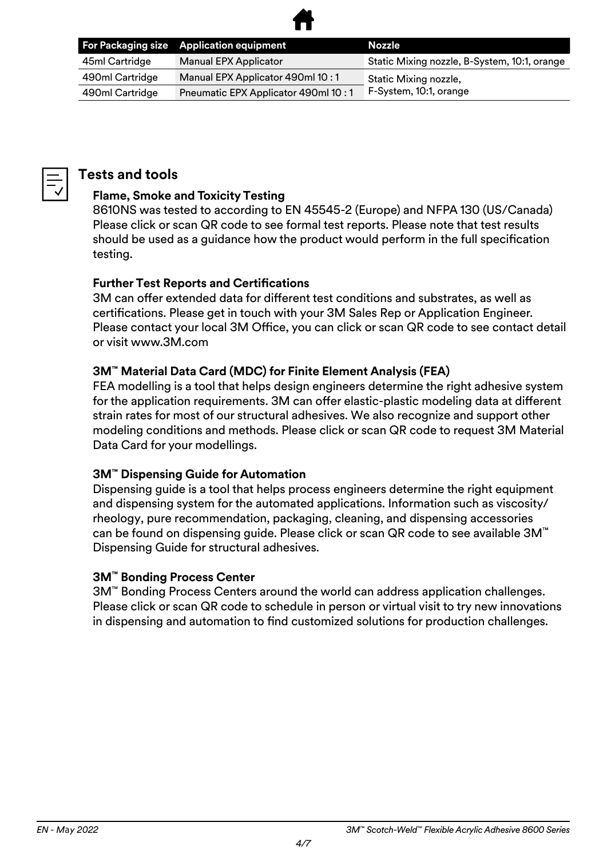

|                 | For Packaging size Application equipment | Nozzle                                       |
|-----------------|------------------------------------------|----------------------------------------------|
| 45ml Cartridge  | Manual EPX Applicator                    | Static Mixing nozzle, B-System, 10:1, orange |
| 490ml Cartridge | Manual EPX Applicator 490ml 10:1         | Static Mixing nozzle,                        |
| 490ml Cartridge | Pneumatic EPX Applicator 490ml 10:1      | F-System, 10:1, orange                       |



# **Tests and tools**

# **Flame, Smoke and Toxicity Testing**

8610NS was tested to according to EN 45545-2 (Europe) and NFPA 130 (US/Canada) Please click or scan QR code to see formal test reports. Please note that test results should be used as a guidance how the product would perform in the full specification testing.

# **Further Test Reports and Certifications**

3M can offer extended data for different test conditions and substrates, as well as certifications. Please get in touch with your 3M Sales Rep or Application Engineer. Please contact your local 3M Office, you can click or scan QR code to see contact detail or visit www.3M.com

# **3M™ Material Data Card (MDC) for Finite Element Analysis (FEA)**

FEA modelling is a tool that helps design engineers determine the right adhesive system for the application requirements. 3M can offer elastic-plastic modeling data at different strain rates for most of our structural adhesives. We also recognize and support other modeling conditions and methods. Please click or scan QR code to request 3M Material Data Card for your modellings.

# **3M™ Dispensing Guide for Automation**

Dispensing guide is a tool that helps process engineers determine the right equipment and dispensing system for the automated applications. Information such as viscosity/ rheology, pure recommendation, packaging, cleaning, and dispensing accessories can be found on dispensing guide. Please click or scan QR code to see available 3M™ Dispensing Guide for structural adhesives.

# **3M™ Bonding Process Center**

3M™ Bonding Process Centers around the world can address application challenges. Please click or scan QR code to schedule in person or virtual visit to try new innovations in dispensing and automation to find customized solutions for production challenges.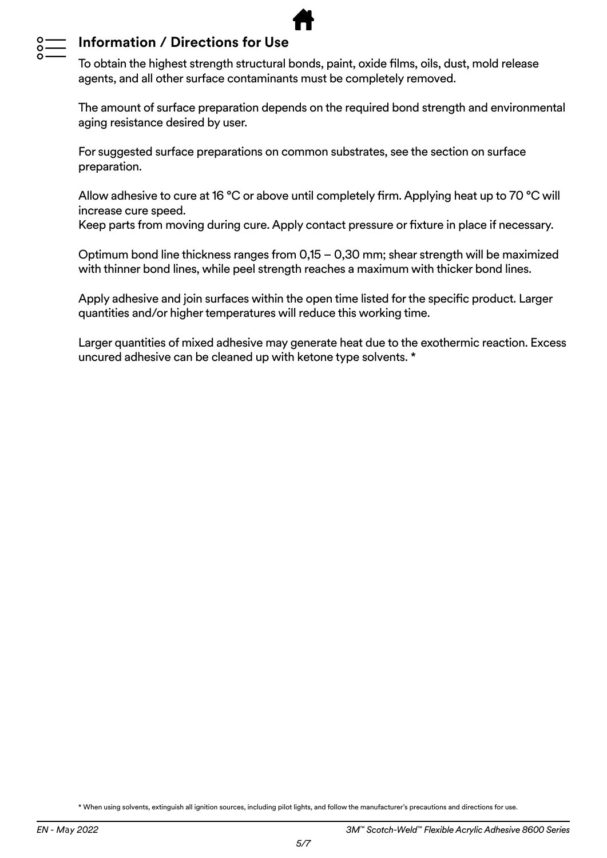

# **Information / Directions for Use**

To obtain the highest strength structural bonds, paint, oxide films, oils, dust, mold release agents, and all other surface contaminants must be completely removed.

The amount of surface preparation depends on the required bond strength and environmental aging resistance desired by user.

For suggested surface preparations on common substrates, see the section on surface preparation.

Allow adhesive to cure at 16 °C or above until completely firm. Applying heat up to 70 °C will increase cure speed.

Keep parts from moving during cure. Apply contact pressure or fixture in place if necessary.

Optimum bond line thickness ranges from 0,15 – 0,30 mm; shear strength will be maximized with thinner bond lines, while peel strength reaches a maximum with thicker bond lines.

Apply adhesive and join surfaces within the open time listed for the specific product. Larger quantities and/or higher temperatures will reduce this working time.

Larger quantities of mixed adhesive may generate heat due to the exothermic reaction. Excess uncured adhesive can be cleaned up with ketone type solvents. \*

\* When using solvents, extinguish all ignition sources, including pilot lights, and follow the manufacturer's precautions and directions for use.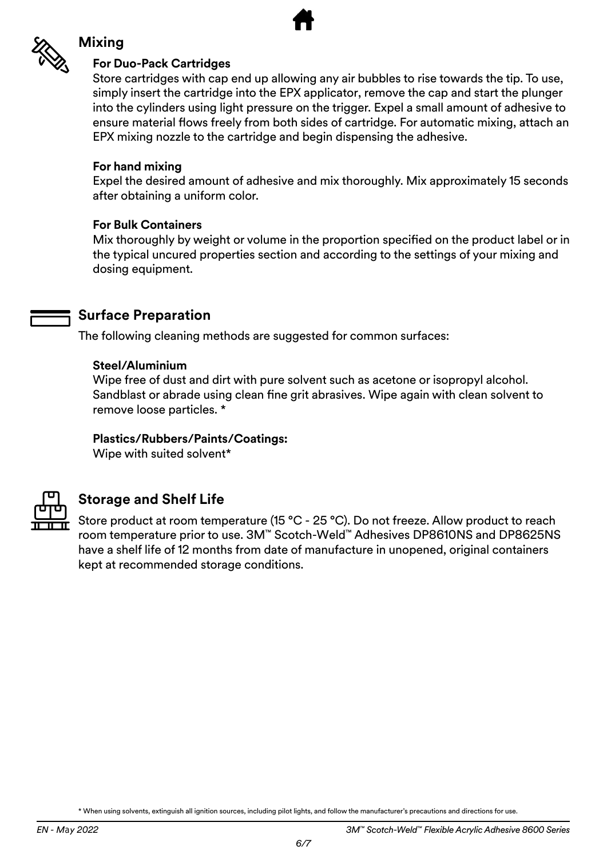

# **Mixing**

# **For Duo-Pack Cartridges**

Store cartridges with cap end up allowing any air bubbles to rise towards the tip. To use, simply insert the cartridge into the EPX applicator, remove the cap and start the plunger into the cylinders using light pressure on the trigger. Expel a small amount of adhesive to ensure material flows freely from both sides of cartridge. For automatic mixing, attach an EPX mixing nozzle to the cartridge and begin dispensing the adhesive.

### **For hand mixing**

Expel the desired amount of adhesive and mix thoroughly. Mix approximately 15 seconds after obtaining a uniform color.

# **For Bulk Containers**

Mix thoroughly by weight or volume in the proportion specified on the product label or in the typical uncured properties section and according to the settings of your mixing and dosing equipment.

# **Surface Preparation**

The following cleaning methods are suggested for common surfaces:

# **Steel/Aluminium**

Wipe free of dust and dirt with pure solvent such as acetone or isopropyl alcohol. Sandblast or abrade using clean fine grit abrasives. Wipe again with clean solvent to remove loose particles. \*

# **Plastics/Rubbers/Paints/Coatings:**

Wipe with suited solvent\*



# **Storage and Shelf Life**

Store product at room temperature (15 °C - 25 °C). Do not freeze. Allow product to reach room temperature prior to use. 3M™ Scotch-Weld™ Adhesives DP8610NS and DP8625NS have a shelf life of 12 months from date of manufacture in unopened, original containers kept at recommended storage conditions.

\* When using solvents, extinguish all ignition sources, including pilot lights, and follow the manufacturer's precautions and directions for use.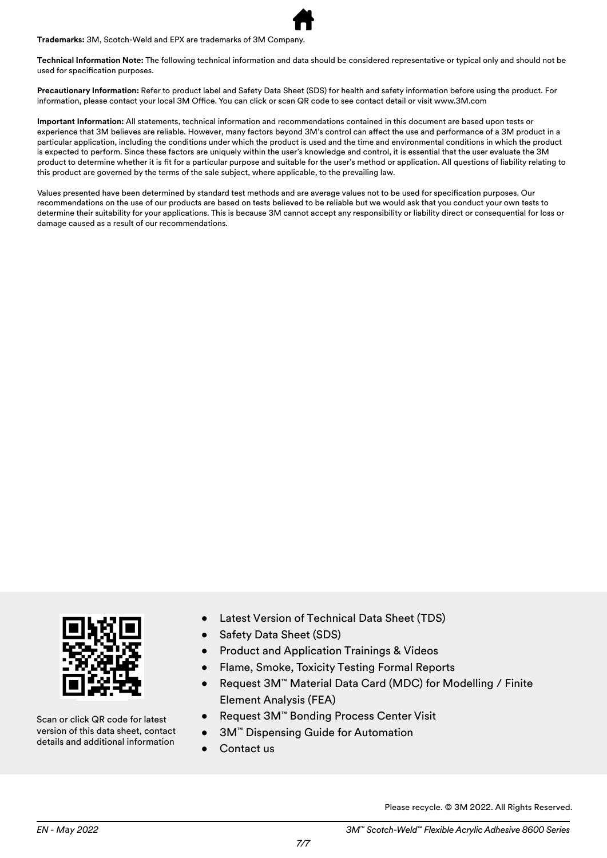**Trademarks:** 3M, Scotch-Weld and EPX are trademarks of 3M Company.

**Technical Information Note:** The following technical information and data should be considered representative or typical only and should not be used for specification purposes.

**Precautionary Information:** Refer to product label and Safety Data Sheet (SDS) for health and safety information before using the product. For information, please contact your local 3M Office. You can click or scan QR code to see contact detail or visit www.3M.com

**Important Information:** All statements, technical information and recommendations contained in this document are based upon tests or experience that 3M believes are reliable. However, many factors beyond 3M's control can affect the use and performance of a 3M product in a particular application, including the conditions under which the product is used and the time and environmental conditions in which the product is expected to perform. Since these factors are uniquely within the user's knowledge and control, it is essential that the user evaluate the 3M product to determine whether it is fit for a particular purpose and suitable for the user's method or application. All questions of liability relating to this product are governed by the terms of the sale subject, where applicable, to the prevailing law.

Values presented have been determined by standard test methods and are average values not to be used for specification purposes. Our recommendations on the use of our products are based on tests believed to be reliable but we would ask that you conduct your own tests to determine their suitability for your applications. This is because 3M cannot accept any responsibility or liability direct or consequential for loss or damage caused as a result of our recommendations.



Scan or click QR code for latest version of this data sheet, contact details and additional information

- Latest Version of Technical Data Sheet (TDS)
- Safety Data Sheet (SDS)
- Product and Application Trainings & Videos
- Flame, Smoke, Toxicity Testing Formal Reports
- Request 3M™ Material Data Card (MDC) for Modelling / Finite Element Analysis (FEA)
- Request 3M™ Bonding Process Center Visit
- 3M™ Dispensing Guide for Automation
- Contact us

Please recycle. © 3M 2022. All Rights Reserved.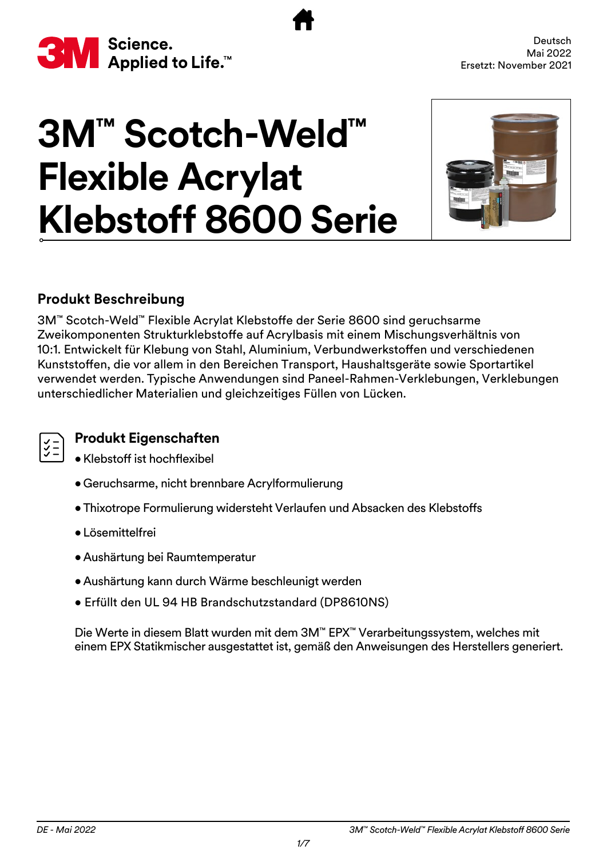<span id="page-8-0"></span>

# **3M™ Scotch-Weld™ Flexible Acrylat Klebstoff 8600 Serie**



# **Produkt Beschreibung**

3M™ Scotch-Weld™ Flexible Acrylat Klebstoffe der Serie 8600 sind geruchsarme Zweikomponenten Strukturklebstoffe auf Acrylbasis mit einem Mischungsverhältnis von 10:1. Entwickelt für Klebung von Stahl, Aluminium, Verbundwerkstoffen und verschiedenen Kunststoffen, die vor allem in den Bereichen Transport, Haushaltsgeräte sowie Sportartikel verwendet werden. Typische Anwendungen sind Paneel-Rahmen-Verklebungen, Verklebungen unterschiedlicher Materialien und gleichzeitiges Füllen von Lücken.

# **Produkt Eigenschaften**

- •Klebstoff ist hochflexibel
- •Geruchsarme, nicht brennbare Acrylformulierung
- •Thixotrope Formulierung widersteht Verlaufen und Absacken des Klebstoffs
- Lösemittelfrei
- Aushärtung bei Raumtemperatur
- Aushärtung kann durch Wärme beschleunigt werden
- Erfüllt den UL 94 HB Brandschutzstandard (DP8610NS)

Die Werte in diesem Blatt wurden mit dem 3M™ EPX™ Verarbeitungssystem, welches mit einem EPX Statikmischer ausgestattet ist, gemäß den Anweisungen des Herstellers generiert.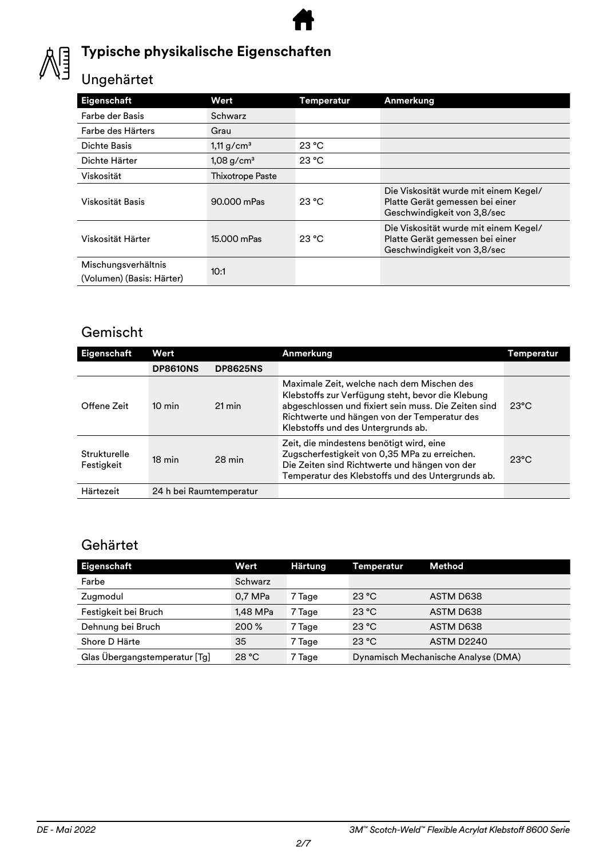

# **Typische physikalische Eigenschaften**

# Ungehärtet

| Eigenschaft                                      | Wert                     | <b>Temperatur</b> | Anmerkung                                                                                               |
|--------------------------------------------------|--------------------------|-------------------|---------------------------------------------------------------------------------------------------------|
| Farbe der Basis                                  | Schwarz                  |                   |                                                                                                         |
| Farbe des Härters                                | Grau                     |                   |                                                                                                         |
| Dichte Basis                                     | $1,11 \text{ g/cm}^3$    | 23 °C             |                                                                                                         |
| Dichte Härter                                    | $1,08$ g/cm <sup>3</sup> | 23 °C             |                                                                                                         |
| Viskosität                                       | <b>Thixotrope Paste</b>  |                   |                                                                                                         |
| Viskosität Basis                                 | 90.000 mPas              | 23 °C             | Die Viskosität wurde mit einem Kegel/<br>Platte Gerät gemessen bei einer<br>Geschwindigkeit von 3,8/sec |
| Viskosität Härter                                | 15.000 mPas              | 23 °C             | Die Viskosität wurde mit einem Kegel/<br>Platte Gerät gemessen bei einer<br>Geschwindigkeit von 3,8/sec |
| Mischungsverhältnis<br>(Volumen) (Basis: Härter) | 10:1                     |                   |                                                                                                         |

# Gemischt

| <b>Eigenschaft</b>         | Wert                    |                     | Anmerkung                                                                                                                                                                                                                                     | Temperatur     |
|----------------------------|-------------------------|---------------------|-----------------------------------------------------------------------------------------------------------------------------------------------------------------------------------------------------------------------------------------------|----------------|
|                            | <b>DP8610NS</b>         | <b>DP8625NS</b>     |                                                                                                                                                                                                                                               |                |
| Offene Zeit                | $10 \text{ min}$        | $21 \,\mathrm{min}$ | Maximale Zeit, welche nach dem Mischen des<br>Klebstoffs zur Verfügung steht, bevor die Klebung<br>abgeschlossen und fixiert sein muss. Die Zeiten sind<br>Richtwerte und hängen von der Temperatur des<br>Klebstoffs und des Untergrunds ab. | $23^{\circ}$ C |
| Strukturelle<br>Festigkeit | $18 \text{ min}$        | 28 min              | Zeit, die mindestens benötigt wird, eine<br>Zugscherfestigkeit von 0,35 MPa zu erreichen.<br>Die Zeiten sind Richtwerte und hängen von der<br>Temperatur des Klebstoffs und des Untergrunds ab.                                               | $23^{\circ}$ C |
| Härtezeit                  | 24 h bei Raumtemperatur |                     |                                                                                                                                                                                                                                               |                |

# Gehärtet

| Eigenschaft                   | Wert     | <b>Härtung</b> | <b>Temperatur</b>                   | Method            |  |
|-------------------------------|----------|----------------|-------------------------------------|-------------------|--|
| Farbe                         | Schwarz  |                |                                     |                   |  |
| Zugmodul                      | 0,7 MPa  | 7 Tage         | 23 °C                               | ASTM D638         |  |
| Festigkeit bei Bruch          | 1.48 MPa | 7 Tage         | 23 °C                               | ASTM D638         |  |
| Dehnung bei Bruch             | 200 %    | 7 Tage         | 23 °C                               | ASTM D638         |  |
| Shore D Härte                 | 35       | 7 Tage         | 23 °C                               | <b>ASTM D2240</b> |  |
| Glas Übergangstemperatur [Tg] | 28 °C    | 7 Tage         | Dynamisch Mechanische Analyse (DMA) |                   |  |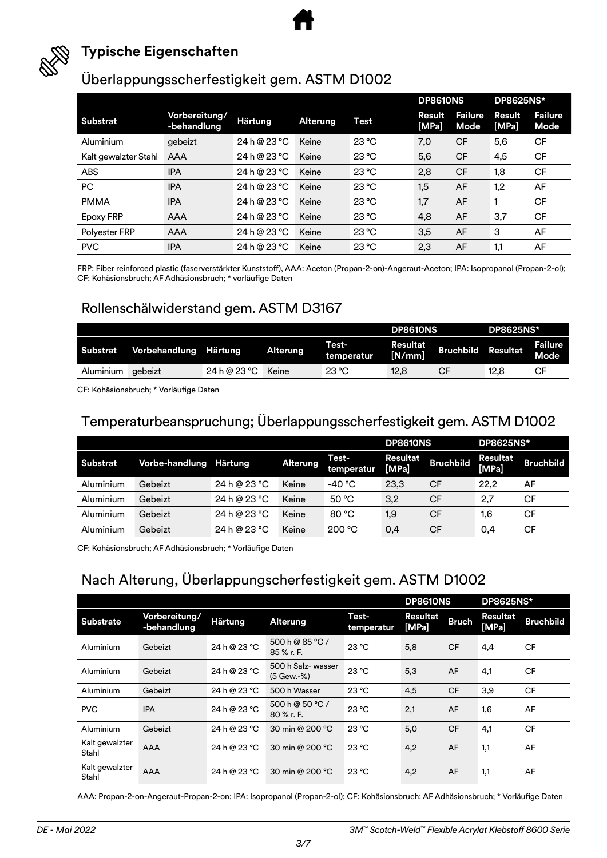

# **Typische Eigenschaften**

# Überlappungsscherfestigkeit gem. ASTM D1002

|                      |                              |              |                 |                | <b>DP8610NS</b> |                        | <b>DP8625NS*</b> |                        |
|----------------------|------------------------------|--------------|-----------------|----------------|-----------------|------------------------|------------------|------------------------|
| <b>Substrat</b>      | Vorbereitung/<br>-behandlung | Härtung      | <b>Alterung</b> | <b>Test</b>    | Result<br>[MPa] | <b>Failure</b><br>Mode | Result<br>[MPa]  | <b>Failure</b><br>Mode |
| Aluminium            | gebeizt                      | 24 h @ 23 °C | Keine           | $23^{\circ}$ C | 7,0             | CF                     | 5,6              | <b>CF</b>              |
| Kalt gewalzter Stahl | AAA                          | 24 h @ 23 °C | Keine           | $23^{\circ}$ C | 5,6             | CF                     | 4,5              | <b>CF</b>              |
| <b>ABS</b>           | <b>IPA</b>                   | 24 h @ 23 °C | Keine           | $23^{\circ}$ C | 2,8             | CF                     | 1,8              | <b>CF</b>              |
| <b>PC</b>            | <b>IPA</b>                   | 24 h @ 23 °C | Keine           | $23^{\circ}$ C | 1,5             | AF                     | 1,2              | AF                     |
| <b>PMMA</b>          | <b>IPA</b>                   | 24 h @ 23 °C | Keine           | $23^{\circ}$ C | 1,7             | AF                     |                  | <b>CF</b>              |
| <b>Epoxy FRP</b>     | <b>AAA</b>                   | 24 h @ 23 °C | Keine           | $23^{\circ}$ C | 4,8             | AF                     | 3,7              | <b>CF</b>              |
| Polyester FRP        | <b>AAA</b>                   | 24 h @ 23 °C | Keine           | 23 °C          | 3,5             | AF                     | 3                | AF                     |
| <b>PVC</b>           | <b>IPA</b>                   | 24 h @ 23 °C | Keine           | 23 °C          | 2,3             | AF                     | 1,1              | AF                     |

FRP: Fiber reinforced plastic (faserverstärkter Kunststoff), AAA: Aceton (Propan-2-on)-Angeraut-Aceton; IPA: Isopropanol (Propan-2-ol); CF: Kohäsionsbruch; AF Adhäsionsbruch; \* vorläufige Daten

# Rollenschälwiderstand gem. ASTM D3167

|                 |                       |              |                 |                     | <b>DP8610NS</b>    |                  | <b>DP8625NS*</b> |                        |
|-----------------|-----------------------|--------------|-----------------|---------------------|--------------------|------------------|------------------|------------------------|
| <b>Substrat</b> | Vorbehandlung Härtung |              | <b>Alterung</b> | Test-<br>temperatur | Resultat<br>[N/mm] | <b>Bruchbild</b> | <b>Resultat</b>  | Failure<br><b>Mode</b> |
| Aluminium       | aebeizt               | 24 h @ 23 °C | Keine           | $23^{\circ}$ C      | 12.8               | СF               | 12,8             | СF                     |

CF: Kohäsionsbruch; \* Vorläufige Daten

# Temperaturbeanspruchung; Überlappungsscherfestigkeit gem. ASTM D1002

|                 |                |                |                 |                     | <b>DP8610NS</b>          |                  | <b>DP8625NS*</b>         |                  |
|-----------------|----------------|----------------|-----------------|---------------------|--------------------------|------------------|--------------------------|------------------|
| <b>Substrat</b> | Vorbe-handlung | <b>Härtung</b> | <b>Alterung</b> | Test-<br>temperatur | <b>Resultat</b><br>[MPa] | <b>Bruchbild</b> | <b>Resultat</b><br>[MPa] | <b>Bruchbild</b> |
| Aluminium       | Gebeizt        | 24 h @ 23 °C   | Keine           | -40 °C              | 23,3                     | СF               | 22.2                     | AF               |
| Aluminium       | Gebeizt        | 24 h @ 23 °C   | Keine           | 50 °C               | 3,2                      | СF               | 2,7                      | СF               |
| Aluminium       | Gebeizt        | 24 h @ 23 °C   | Keine           | 80 °C               | 1,9                      | СF               | 1,6                      | СF               |
| Aluminium       | Gebeizt        | 24 h @ 23 °C   | Keine           | 200 °C              | 0,4                      | СF               | 0,4                      | СF               |

CF: Kohäsionsbruch; AF Adhäsionsbruch; \* Vorläufige Daten

# Nach Alterung, Überlappungscherfestigkeit gem. ASTM D1002

|                         |                              |              |                                  |                     | <b>DP8610NS</b>          |              | <b>DP8625NS*</b>         |                  |
|-------------------------|------------------------------|--------------|----------------------------------|---------------------|--------------------------|--------------|--------------------------|------------------|
| <b>Substrate</b>        | Vorbereitung/<br>-behandlung | Härtung      | <b>Alterung</b>                  | Test-<br>temperatur | <b>Resultat</b><br>[MPa] | <b>Bruch</b> | <b>Resultat</b><br>[MPa] | <b>Bruchbild</b> |
| Aluminium               | Gebeizt                      | 24 h @ 23 °C | 500 h @ 85 °C /<br>85 % r. F.    | 23 °C               | 5,8                      | <b>CF</b>    | 4,4                      | <b>CF</b>        |
| Aluminium               | Gebeizt                      | 24 h @ 23 °C | 500 h Salz-wasser<br>(5 Gew.-%)  | 23 °C               | 5,3                      | AF           | 4,1                      | <b>CF</b>        |
| Aluminium               | Gebeizt                      | 24 h @ 23 °C | 500 h Wasser                     | 23 °C               | 4,5                      | <b>CF</b>    | 3,9                      | <b>CF</b>        |
| <b>PVC</b>              | <b>IPA</b>                   | 24 h @ 23 °C | 500 h @ 50 °C /<br>$80 \%$ r. F. | 23 °C               | 2,1                      | AF           | 1,6                      | AF               |
| Aluminium               | Gebeizt                      | 24 h @ 23 °C | 30 min @ 200 °C                  | 23 °C               | 5,0                      | <b>CF</b>    | 4,1                      | <b>CF</b>        |
| Kalt gewalzter<br>Stahl | AAA                          | 24 h @ 23 °C | 30 min @ 200 °C                  | 23 °C               | 4,2                      | AF           | 1,1                      | AF               |
| Kalt gewalzter<br>Stahl | AAA                          | 24 h @ 23 °C | 30 min @ 200 °C                  | 23 °C               | 4,2                      | AF           | 1,1                      | AF               |

AAA: Propan-2-on-Angeraut-Propan-2-on; IPA: Isopropanol (Propan-2-ol); CF: Kohäsionsbruch; AF Adhäsionsbruch; \* Vorläufige Daten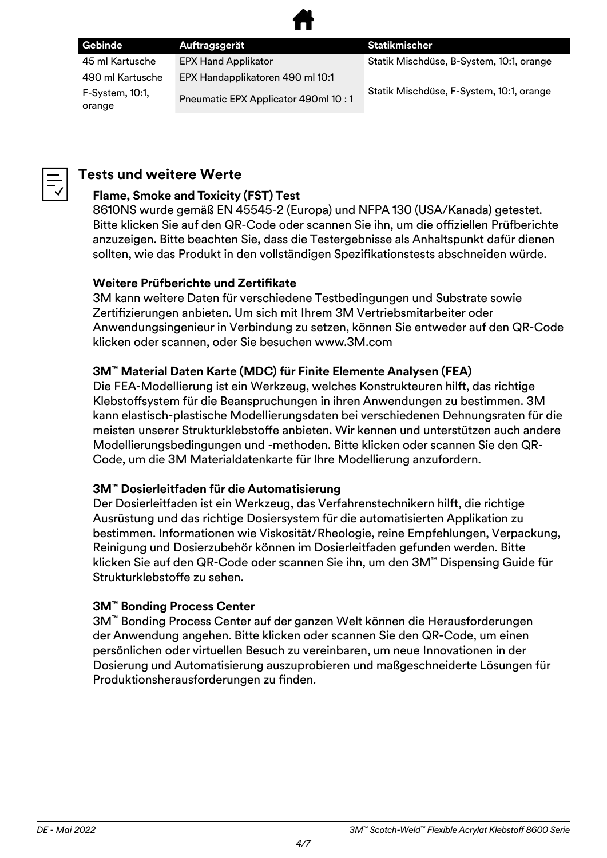|                           | . .                                 |                                          |
|---------------------------|-------------------------------------|------------------------------------------|
| Gebinde                   | Auftragsgerät                       | <b>Statikmischer</b>                     |
| 45 ml Kartusche           | <b>EPX Hand Applikator</b>          | Statik Mischdüse, B-System, 10:1, orange |
| 490 ml Kartusche          | EPX Handapplikatoren 490 ml 10:1    |                                          |
| F-System, 10:1,<br>orange | Pneumatic EPX Applicator 490ml 10:1 | Statik Mischdüse, F-System, 10:1, orange |



# **Tests und weitere Werte**

# **Flame, Smoke and Toxicity (FST) Test**

8610NS wurde gemäß EN 45545-2 (Europa) und NFPA 130 (USA/Kanada) getestet. Bitte klicken Sie auf den QR-Code oder scannen Sie ihn, um die offiziellen Prüfberichte anzuzeigen. Bitte beachten Sie, dass die Testergebnisse als Anhaltspunkt dafür dienen sollten, wie das Produkt in den vollständigen Spezifikationstests abschneiden würde.

# **Weitere Prüfberichte und Zertifikate**

3M kann weitere Daten für verschiedene Testbedingungen und Substrate sowie Zertifizierungen anbieten. Um sich mit Ihrem 3M Vertriebsmitarbeiter oder Anwendungsingenieur in Verbindung zu setzen, können Sie entweder auf den QR-Code klicken oder scannen, oder Sie besuchen www.3M.com

# **3M™ Material Daten Karte (MDC) für Finite Elemente Analysen (FEA)**

Die FEA-Modellierung ist ein Werkzeug, welches Konstrukteuren hilft, das richtige Klebstoffsystem für die Beanspruchungen in ihren Anwendungen zu bestimmen. 3M kann elastisch-plastische Modellierungsdaten bei verschiedenen Dehnungsraten für die meisten unserer Strukturklebstoffe anbieten. Wir kennen und unterstützen auch andere Modellierungsbedingungen und -methoden. Bitte klicken oder scannen Sie den QR-Code, um die 3M Materialdatenkarte für Ihre Modellierung anzufordern.

# **3M™ Dosierleitfaden für die Automatisierung**

Der Dosierleitfaden ist ein Werkzeug, das Verfahrenstechnikern hilft, die richtige Ausrüstung und das richtige Dosiersystem für die automatisierten Applikation zu bestimmen. Informationen wie Viskosität/Rheologie, reine Empfehlungen, Verpackung, Reinigung und Dosierzubehör können im Dosierleitfaden gefunden werden. Bitte klicken Sie auf den QR-Code oder scannen Sie ihn, um den 3M™ Dispensing Guide für Strukturklebstoffe zu sehen.

# **3M™ Bonding Process Center**

3M™ Bonding Process Center auf der ganzen Welt können die Herausforderungen der Anwendung angehen. Bitte klicken oder scannen Sie den QR-Code, um einen persönlichen oder virtuellen Besuch zu vereinbaren, um neue Innovationen in der Dosierung und Automatisierung auszuprobieren und maßgeschneiderte Lösungen für Produktionsherausforderungen zu finden.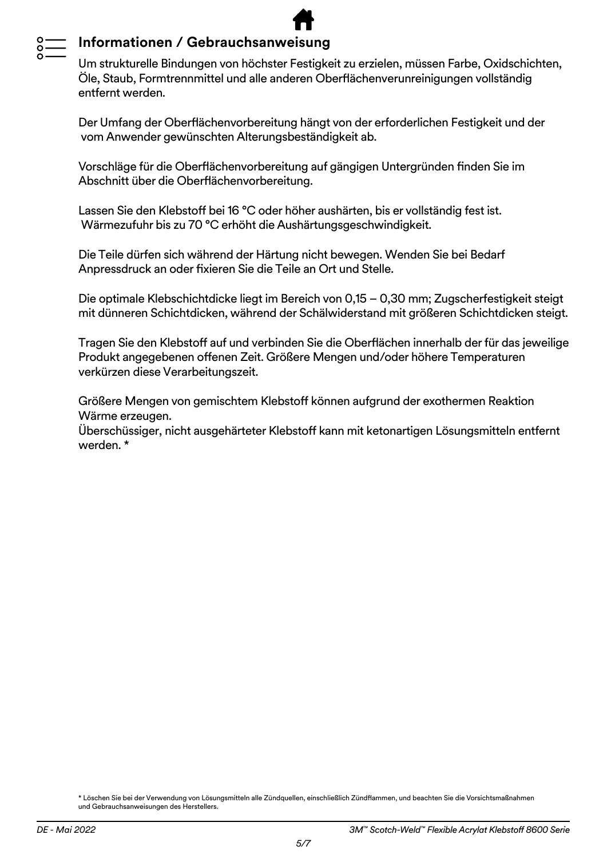# **Informationen / Gebrauchsanweisung**

Um strukturelle Bindungen von höchster Festigkeit zu erzielen, müssen Farbe, Oxidschichten, Öle, Staub, Formtrennmittel und alle anderen Oberflächenverunreinigungen vollständig entfernt werden.

Der Umfang der Oberflächenvorbereitung hängt von der erforderlichen Festigkeit und der vom Anwender gewünschten Alterungsbeständigkeit ab.

Vorschläge für die Oberflächenvorbereitung auf gängigen Untergründen finden Sie im Abschnitt über die Oberflächenvorbereitung.

Lassen Sie den Klebstoff bei 16 °C oder höher aushärten, bis er vollständig fest ist. Wärmezufuhr bis zu 70 °C erhöht die Aushärtungsgeschwindigkeit.

Die Teile dürfen sich während der Härtung nicht bewegen. Wenden Sie bei Bedarf Anpressdruck an oder fixieren Sie die Teile an Ort und Stelle.

Die optimale Klebschichtdicke liegt im Bereich von 0,15 – 0,30 mm; Zugscherfestigkeit steigt mit dünneren Schichtdicken, während der Schälwiderstand mit größeren Schichtdicken steigt.

Tragen Sie den Klebstoff auf und verbinden Sie die Oberflächen innerhalb der für das jeweilige Produkt angegebenen offenen Zeit. Größere Mengen und/oder höhere Temperaturen verkürzen diese Verarbeitungszeit.

Größere Mengen von gemischtem Klebstoff können aufgrund der exothermen Reaktion Wärme erzeugen.

Überschüssiger, nicht ausgehärteter Klebstoff kann mit ketonartigen Lösungsmitteln entfernt werden. \*

\* Löschen Sie bei der Verwendung von Lösungsmitteln alle Zündquellen, einschließlich Zündflammen, und beachten Sie die Vorsichtsmaßnahmen und Gebrauchsanweisungen des Herstellers.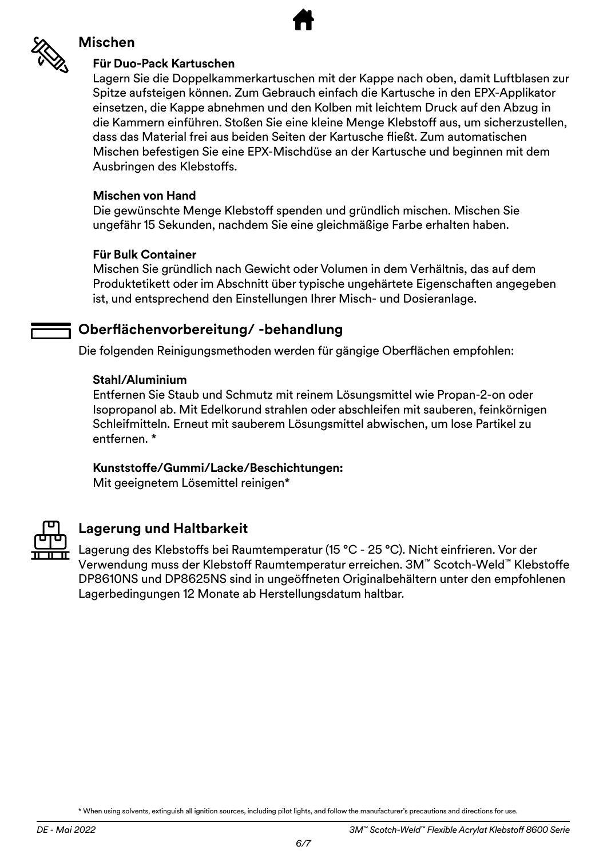

# **Mischen**

# **Für Duo-Pack Kartuschen**

Lagern Sie die Doppelkammerkartuschen mit der Kappe nach oben, damit Luftblasen zur Spitze aufsteigen können. Zum Gebrauch einfach die Kartusche in den EPX-Applikator einsetzen, die Kappe abnehmen und den Kolben mit leichtem Druck auf den Abzug in die Kammern einführen. Stoßen Sie eine kleine Menge Klebstoff aus, um sicherzustellen, dass das Material frei aus beiden Seiten der Kartusche fließt. Zum automatischen Mischen befestigen Sie eine EPX-Mischdüse an der Kartusche und beginnen mit dem Ausbringen des Klebstoffs.

# **Mischen von Hand**

Die gewünschte Menge Klebstoff spenden und gründlich mischen. Mischen Sie ungefähr 15 Sekunden, nachdem Sie eine gleichmäßige Farbe erhalten haben.

# **Für Bulk Container**

Mischen Sie gründlich nach Gewicht oder Volumen in dem Verhältnis, das auf dem Produktetikett oder im Abschnitt über typische ungehärtete Eigenschaften angegeben ist, und entsprechend den Einstellungen Ihrer Misch- und Dosieranlage.

# **Oberflächenvorbereitung/ -behandlung**

Die folgenden Reinigungsmethoden werden für gängige Oberflächen empfohlen:

# **Stahl/Aluminium**

Entfernen Sie Staub und Schmutz mit reinem Lösungsmittel wie Propan-2-on oder Isopropanol ab. Mit Edelkorund strahlen oder abschleifen mit sauberen, feinkörnigen Schleifmitteln. Erneut mit sauberem Lösungsmittel abwischen, um lose Partikel zu entfernen. \*

# **Kunststoffe/Gummi/Lacke/Beschichtungen:**

Mit geeignetem Lösemittel reinigen\*



# **Lagerung und Haltbarkeit**

Lagerung des Klebstoffs bei Raumtemperatur (15 °C - 25 °C). Nicht einfrieren. Vor der Verwendung muss der Klebstoff Raumtemperatur erreichen. 3M™ Scotch-Weld™ Klebstoffe DP8610NS und DP8625NS sind in ungeöffneten Originalbehältern unter den empfohlenen Lagerbedingungen 12 Monate ab Herstellungsdatum haltbar.

\* When using solvents, extinguish all ignition sources, including pilot lights, and follow the manufacturer's precautions and directions for use.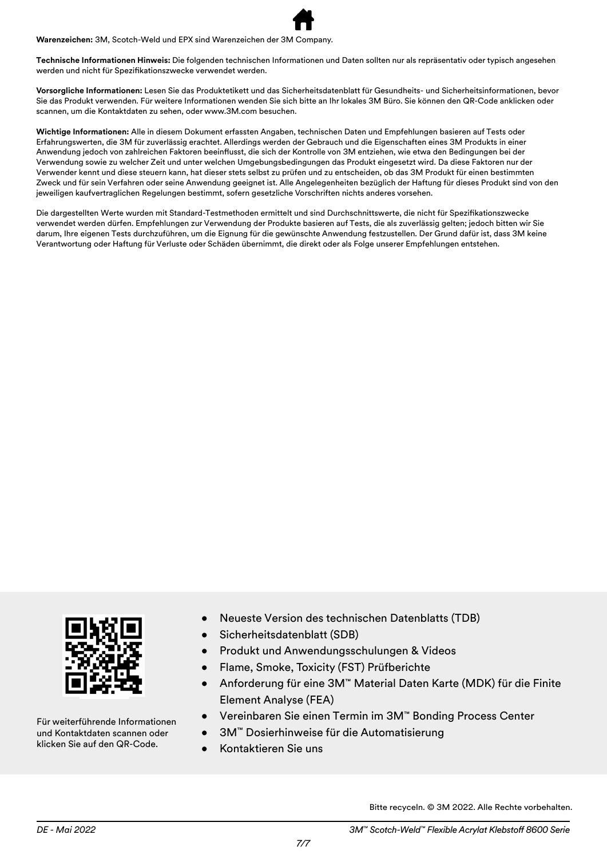**Warenzeichen:** 3M, Scotch-Weld und EPX sind Warenzeichen der 3M Company.

**Technische Informationen Hinweis:** Die folgenden technischen Informationen und Daten sollten nur als repräsentativ oder typisch angesehen werden und nicht für Spezifikationszwecke verwendet werden.

**Vorsorgliche Informationen:** Lesen Sie das Produktetikett und das Sicherheitsdatenblatt für Gesundheits- und Sicherheitsinformationen, bevor Sie das Produkt verwenden. Für weitere Informationen wenden Sie sich bitte an Ihr lokales 3M Büro. Sie können den QR-Code anklicken oder scannen, um die Kontaktdaten zu sehen, oder www.3M.com besuchen.

**Wichtige Informationen:** Alle in diesem Dokument erfassten Angaben, technischen Daten und Empfehlungen basieren auf Tests oder Erfahrungswerten, die 3M für zuverlässig erachtet. Allerdings werden der Gebrauch und die Eigenschaften eines 3M Produkts in einer Anwendung jedoch von zahlreichen Faktoren beeinflusst, die sich der Kontrolle von 3M entziehen, wie etwa den Bedingungen bei der Verwendung sowie zu welcher Zeit und unter welchen Umgebungsbedingungen das Produkt eingesetzt wird. Da diese Faktoren nur der Verwender kennt und diese steuern kann, hat dieser stets selbst zu prüfen und zu entscheiden, ob das 3M Produkt für einen bestimmten Zweck und für sein Verfahren oder seine Anwendung geeignet ist. Alle Angelegenheiten bezüglich der Haftung für dieses Produkt sind von den jeweiligen kaufvertraglichen Regelungen bestimmt, sofern gesetzliche Vorschriften nichts anderes vorsehen.

Die dargestellten Werte wurden mit Standard-Testmethoden ermittelt und sind Durchschnittswerte, die nicht für Spezifikationszwecke verwendet werden dürfen. Empfehlungen zur Verwendung der Produkte basieren auf Tests, die als zuverlässig gelten; jedoch bitten wir Sie darum, Ihre eigenen Tests durchzuführen, um die Eignung für die gewünschte Anwendung festzustellen. Der Grund dafür ist, dass 3M keine Verantwortung oder Haftung für Verluste oder Schäden übernimmt, die direkt oder als Folge unserer Empfehlungen entstehen.



Für weiterführende Informationen und Kontaktdaten scannen oder klicken Sie auf den QR-Code.

- Neueste Version des technischen Datenblatts (TDB)
- Sicherheitsdatenblatt (SDB)
- Produkt und Anwendungsschulungen & Videos
- Flame, Smoke, Toxicity (FST) Prüfberichte
- Anforderung für eine 3M™ Material Daten Karte (MDK) für die Finite Element Analyse (FEA)
- Vereinbaren Sie einen Termin im 3M™ Bonding Process Center
- 3M™ Dosierhinweise für die Automatisierung
- Kontaktieren Sie uns

Bitte recyceln. © 3M 2022. Alle Rechte vorbehalten.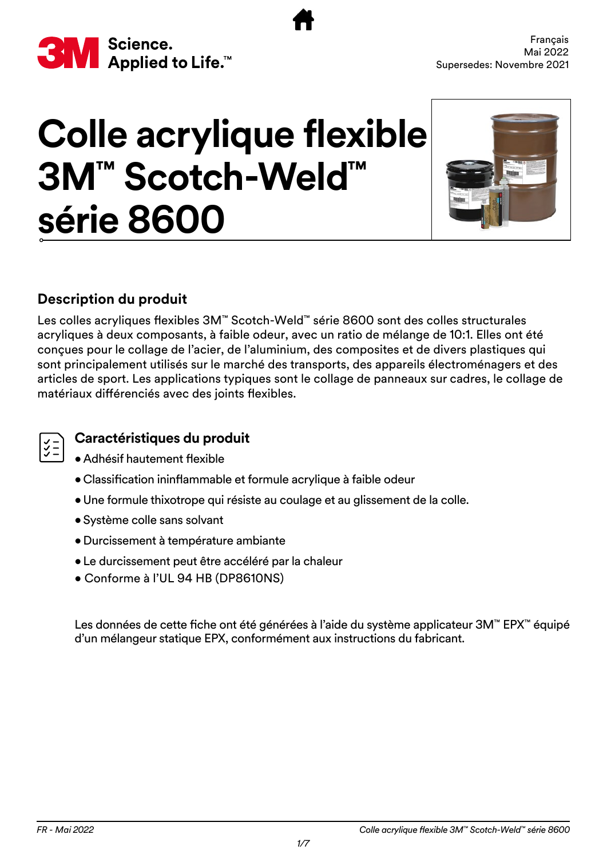<span id="page-15-0"></span>

# **Colle acrylique flexible 3M™ Scotch-Weld™ série 8600**



# **Description du produit**

Les colles acryliques flexibles 3M™ Scotch-Weld™ série 8600 sont des colles structurales acryliques à deux composants, à faible odeur, avec un ratio de mélange de 10:1. Elles ont été conçues pour le collage de l'acier, de l'aluminium, des composites et de divers plastiques qui sont principalement utilisés sur le marché des transports, des appareils électroménagers et des articles de sport. Les applications typiques sont le collage de panneaux sur cadres, le collage de matériaux différenciés avec des joints flexibles.



# **Caractéristiques du produit**

- Adhésif hautement flexible
- Classification ininflammable et formule acrylique à faible odeur
- •Une formule thixotrope qui résiste au coulage et au glissement de la colle.
- Système colle sans solvant
- Durcissement à température ambiante
- Le durcissement peut être accéléré par la chaleur
- Conforme à l'UL 94 HB (DP8610NS)

Les données de cette fiche ont été générées à l'aide du système applicateur 3M™ EPX™ équipé d'un mélangeur statique EPX, conformément aux instructions du fabricant.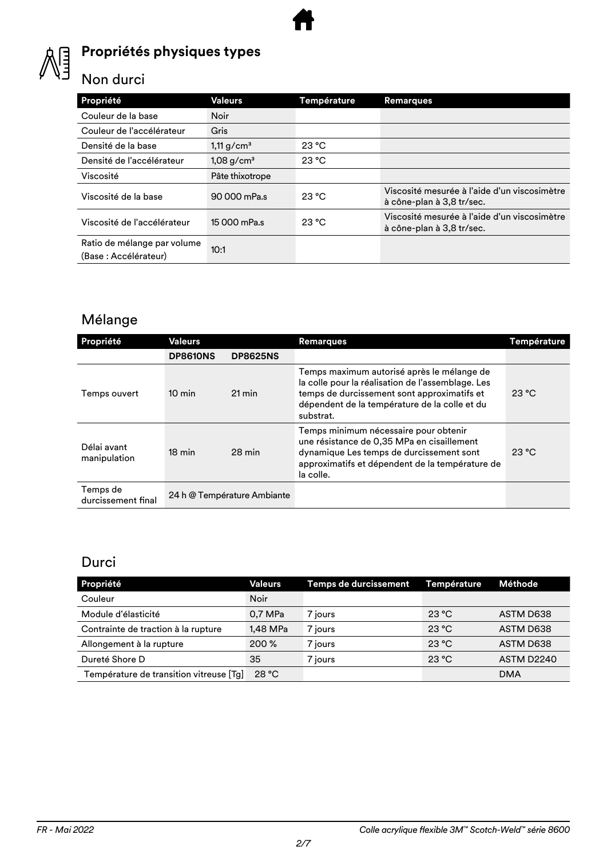

# **Propriétés physiques types**

# Non durci

| Propriété                                           | Valeurs                  | Température | <b>Remarques</b>                                                          |
|-----------------------------------------------------|--------------------------|-------------|---------------------------------------------------------------------------|
| Couleur de la base                                  | <b>Noir</b>              |             |                                                                           |
| Couleur de l'accélérateur                           | Gris                     |             |                                                                           |
| Densité de la base                                  | 1,11 $g/cm3$             | 23 °C       |                                                                           |
| Densité de l'accélérateur                           | $1,08$ g/cm <sup>3</sup> | 23 °C       |                                                                           |
| Viscosité                                           | Pâte thixotrope          |             |                                                                           |
| Viscosité de la base                                | 90 000 mPa.s             | 23 °C       | Viscosité mesurée à l'aide d'un viscosimètre<br>à cône-plan à 3,8 tr/sec. |
| Viscosité de l'accélérateur                         | 15 000 mPa.s             | 23 °C       | Viscosité mesurée à l'aide d'un viscosimètre<br>à cône-plan à 3,8 tr/sec. |
| Ratio de mélange par volume<br>(Base: Accélérateur) | 10:1                     |             |                                                                           |

# Mélange

| Propriété                      | Valeurs          |                             | <b>Remarques</b>                                                                                                                                                                                             | <b>Température</b> |
|--------------------------------|------------------|-----------------------------|--------------------------------------------------------------------------------------------------------------------------------------------------------------------------------------------------------------|--------------------|
|                                | <b>DP8610NS</b>  | <b>DP8625NS</b>             |                                                                                                                                                                                                              |                    |
| Temps ouvert                   | $10 \text{ min}$ | 21 min                      | Temps maximum autorisé après le mélange de<br>la colle pour la réalisation de l'assemblage. Les<br>temps de durcissement sont approximatifs et<br>dépendent de la température de la colle et du<br>substrat. | 23 °C              |
| Délai avant<br>manipulation    | $18 \text{ min}$ | $28 \text{ min}$            | Temps minimum nécessaire pour obtenir<br>une résistance de 0,35 MPa en cisaillement<br>dynamique Les temps de durcissement sont<br>approximatifs et dépendent de la température de<br>la colle.              | 23 °C              |
| Temps de<br>durcissement final |                  | 24 h @ Température Ambiante |                                                                                                                                                                                                              |                    |

# Durci

| Propriété                               | <b>Valeurs</b> | Temps de durcissement | Température     | Méthode           |
|-----------------------------------------|----------------|-----------------------|-----------------|-------------------|
| Couleur                                 | <b>Noir</b>    |                       |                 |                   |
| Module d'élasticité                     | 0,7 MPa        | 7 jours               | $23 \text{ °C}$ | ASTM D638         |
| Contrainte de traction à la rupture     | 1.48 MPa       | 7 jours               | 23 °C           | ASTM D638         |
| Allongement à la rupture                | 200 %          | 7 jours               | 23 °C           | ASTM D638         |
| Dureté Shore D                          | 35             | 7 jours               | 23 °C           | <b>ASTM D2240</b> |
| Température de transition vitreuse [Tg] | 28 °C          |                       |                 | <b>DMA</b>        |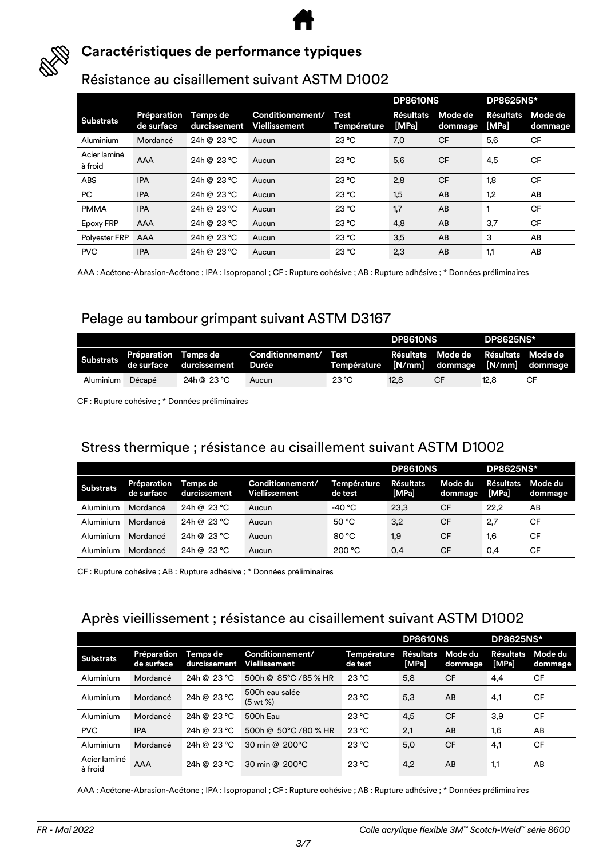



# **Caractéristiques de performance typiques**

# Résistance au cisaillement suivant ASTM D1002

|                         |                           |                          |                                          |                     | <b>DP8610NS</b>           |                    | <b>DP8625NS*</b>          |                    |
|-------------------------|---------------------------|--------------------------|------------------------------------------|---------------------|---------------------------|--------------------|---------------------------|--------------------|
| <b>Substrats</b>        | Préparation<br>de surface | Temps de<br>durcissement | Conditionnement/<br><b>Viellissement</b> | Test<br>Température | <b>Résultats</b><br>[MPa] | Mode de<br>dommage | <b>Résultats</b><br>[MPa] | Mode de<br>dommage |
| Aluminium               | Mordancé                  | 24h @ 23 °C              | Aucun                                    | $23^{\circ}$ C      | 7,0                       | <b>CF</b>          | 5,6                       | CF                 |
| Acier laminé<br>à froid | <b>AAA</b>                | 24h @ 23 °C              | Aucun                                    | $23^{\circ}$ C      | 5,6                       | <b>CF</b>          | 4,5                       | <b>CF</b>          |
| ABS                     | <b>IPA</b>                | 24h @ 23 °C              | Aucun                                    | $23^{\circ}$ C      | 2,8                       | <b>CF</b>          | 1,8                       | <b>CF</b>          |
| <b>PC</b>               | <b>IPA</b>                | 24h @ 23 °C              | Aucun                                    | $23^{\circ}$ C      | 1,5                       | AB                 | 1,2                       | AB                 |
| <b>PMMA</b>             | <b>IPA</b>                | 24h @ 23 °C              | Aucun                                    | $23^{\circ}$ C      | 1,7                       | AB                 |                           | <b>CF</b>          |
| <b>Epoxy FRP</b>        | AAA                       | 24h @ 23 °C              | Aucun                                    | $23^{\circ}$ C      | 4,8                       | AB                 | 3,7                       | <b>CF</b>          |
| Polyester FRP           | AAA                       | 24h @ 23 °C              | Aucun                                    | $23^{\circ}$ C      | 3,5                       | AB                 | 3                         | AB                 |
| <b>PVC</b>              | <b>IPA</b>                | 24h @ 23 °C              | Aucun                                    | $23^{\circ}$ C      | 2,3                       | AB                 | 1,1                       | AB                 |

AAA : Acétone-Abrasion-Acétone ; IPA : Isopropanol ; CF : Rupture cohésive ; AB : Rupture adhésive ; \* Données préliminaires

# Pelage au tambour grimpant suivant ASTM D3167

|                  |                      |                         |                                |                                           | <b>DP8610NS</b> |                                     | <b>DP8625NS*</b> |    |
|------------------|----------------------|-------------------------|--------------------------------|-------------------------------------------|-----------------|-------------------------------------|------------------|----|
| <b>Substrats</b> | Préparation Temps de | de surface durcissement | Conditionnement/ Test<br>Durée | Température [N/mm] dommage [N/mm] dommage |                 | Résultats Mode de Résultats Mode de |                  |    |
| Aluminium        | Décapé               | 24h @ 23 °C             | Aucun                          | 23 °C                                     | 12.8            | CF                                  | 12.8             | СF |

CF : Rupture cohésive ; \* Données préliminaires

# Stress thermique ; résistance au cisaillement suivant ASTM D1002

|                  |                           |                          |                                   |                        | <b>DP8610NS</b>           |                    | <b>DP8625NS*</b>          |                    |
|------------------|---------------------------|--------------------------|-----------------------------------|------------------------|---------------------------|--------------------|---------------------------|--------------------|
| <b>Substrats</b> | Préparation<br>de surface | Temps de<br>durcissement | Conditionnement/<br>Viellissement | Température<br>de test | <b>Résultats</b><br>[MPa] | Mode du<br>dommage | <b>Résultats</b><br>[MPa] | Mode du<br>dommage |
| Aluminium        | Mordancé                  | 24h @ 23 °C              | Aucun                             | -40 °C                 | 23.3                      | СF                 | 22.2                      | AB                 |
| Aluminium        | Mordancé                  | 24h @ 23 °C              | Aucun                             | 50 °C                  | 3,2                       | CF                 | 2.7                       | <b>CF</b>          |
| Aluminium        | Mordancé                  | 24h @ 23 °C              | Aucun                             | 80 °C                  | 1.9                       | CF                 | 1.6                       | СF                 |
| Aluminium        | Mordancé                  | 24h @ 23 °C              | Aucun                             | 200 °C                 | 0,4                       | СF                 | 0,4                       | CF                 |

CF : Rupture cohésive ; AB : Rupture adhésive ; \* Données préliminaires

# Après vieillissement ; résistance au cisaillement suivant ASTM D1002

|                         |                           |                          |                                        |                        | <b>DP8610NS</b>           |                    | <b>DP8625NS*</b>          |                    |
|-------------------------|---------------------------|--------------------------|----------------------------------------|------------------------|---------------------------|--------------------|---------------------------|--------------------|
| <b>Substrats</b>        | Préparation<br>de surface | Temps de<br>durcissement | Conditionnement/<br>Viellissement      | Température<br>de test | <b>Résultats</b><br>[MPa] | Mode du<br>dommage | <b>Résultats</b><br>[MPa] | Mode du<br>dommage |
| Aluminium               | Mordancé                  | 24h @ 23 °C              | 500h @ 85°C /85 % HR                   | 23 °C                  | 5,8                       | <b>CF</b>          | 4,4                       | <b>CF</b>          |
| Aluminium               | Mordancé                  | 24h @ 23 °C              | 500h eau salée<br>$(5 \text{ wt } % )$ | 23 °C                  | 5,3                       | AB                 | 4.1                       | <b>CF</b>          |
| Aluminium               | Mordancé                  | 24h @ 23 °C              | 500h Eau                               | 23 °C                  | 4,5                       | <b>CF</b>          | 3,9                       | <b>CF</b>          |
| <b>PVC</b>              | <b>IPA</b>                | 24h @ 23 °C              | 500h @ 50°C /80 % HR                   | 23 °C                  | 2,1                       | AB                 | 1,6                       | AB                 |
| Aluminium               | Mordancé                  | 24h @ 23 °C              | 30 min @ 200°C                         | 23 °C                  | 5,0                       | <b>CF</b>          | 4,1                       | <b>CF</b>          |
| Acier laminé<br>à froid | AAA                       | 24h @ 23 °C              | 30 min @ 200°C                         | 23 °C                  | 4,2                       | AB                 | 1,1                       | AB                 |

AAA : Acétone-Abrasion-Acétone ; IPA : Isopropanol ; CF : Rupture cohésive ; AB : Rupture adhésive ; \* Données préliminaires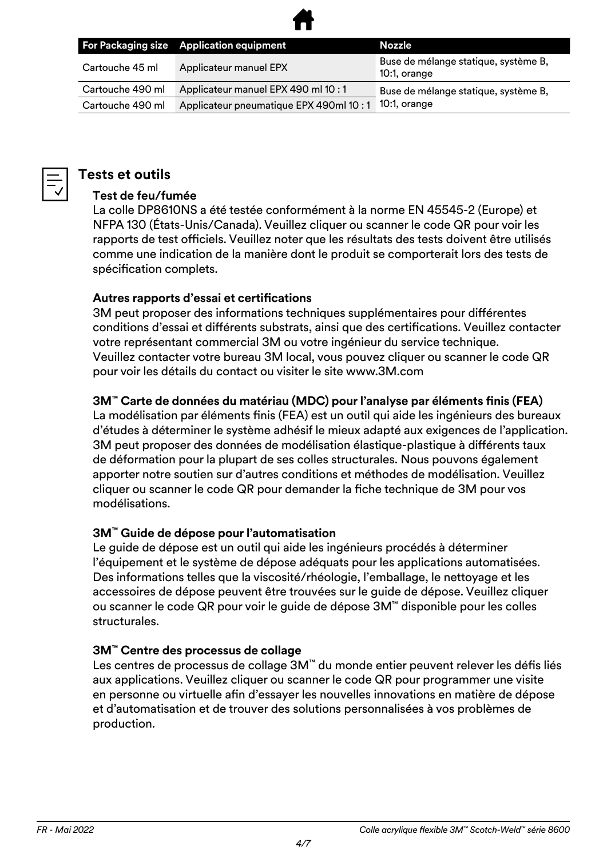

|                  | For Packaging size Application equipment | <b>Nozzle</b>                                        |
|------------------|------------------------------------------|------------------------------------------------------|
| Cartouche 45 ml  | Applicateur manuel EPX                   | Buse de mélange statique, système B,<br>10:1, orange |
| Cartouche 490 ml | Applicateur manuel EPX 490 ml 10 : 1     | Buse de mélange statique, système B,                 |
| Cartouche 490 ml | Applicateur pneumatique EPX 490ml 10 : 1 | $10:1$ , orange                                      |



# **Tests et outils**

# **Test de feu/fumée**

La colle DP8610NS a été testée conformément à la norme EN 45545-2 (Europe) et NFPA 130 (États-Unis/Canada). Veuillez cliquer ou scanner le code QR pour voir les rapports de test officiels. Veuillez noter que les résultats des tests doivent être utilisés comme une indication de la manière dont le produit se comporterait lors des tests de spécification complets.

# **Autres rapports d'essai et certifications**

3M peut proposer des informations techniques supplémentaires pour différentes conditions d'essai et différents substrats, ainsi que des certifications. Veuillez contacter votre représentant commercial 3M ou votre ingénieur du service technique. Veuillez contacter votre bureau 3M local, vous pouvez cliquer ou scanner le code QR pour voir les détails du contact ou visiter le site www.3M.com

# **3M™ Carte de données du matériau (MDC) pour l'analyse par éléments finis (FEA)**

La modélisation par éléments finis (FEA) est un outil qui aide les ingénieurs des bureaux d'études à déterminer le système adhésif le mieux adapté aux exigences de l'application. 3M peut proposer des données de modélisation élastique-plastique à différents taux de déformation pour la plupart de ses colles structurales. Nous pouvons également apporter notre soutien sur d'autres conditions et méthodes de modélisation. Veuillez cliquer ou scanner le code QR pour demander la fiche technique de 3M pour vos modélisations.

# **3M™ Guide de dépose pour l'automatisation**

Le guide de dépose est un outil qui aide les ingénieurs procédés à déterminer l'équipement et le système de dépose adéquats pour les applications automatisées. Des informations telles que la viscosité/rhéologie, l'emballage, le nettoyage et les accessoires de dépose peuvent être trouvées sur le guide de dépose. Veuillez cliquer ou scanner le code QR pour voir le guide de dépose 3M™ disponible pour les colles structurales.

# **3M™ Centre des processus de collage**

Les centres de processus de collage 3M™ du monde entier peuvent relever les défis liés aux applications. Veuillez cliquer ou scanner le code QR pour programmer une visite en personne ou virtuelle afin d'essayer les nouvelles innovations en matière de dépose et d'automatisation et de trouver des solutions personnalisées à vos problèmes de production.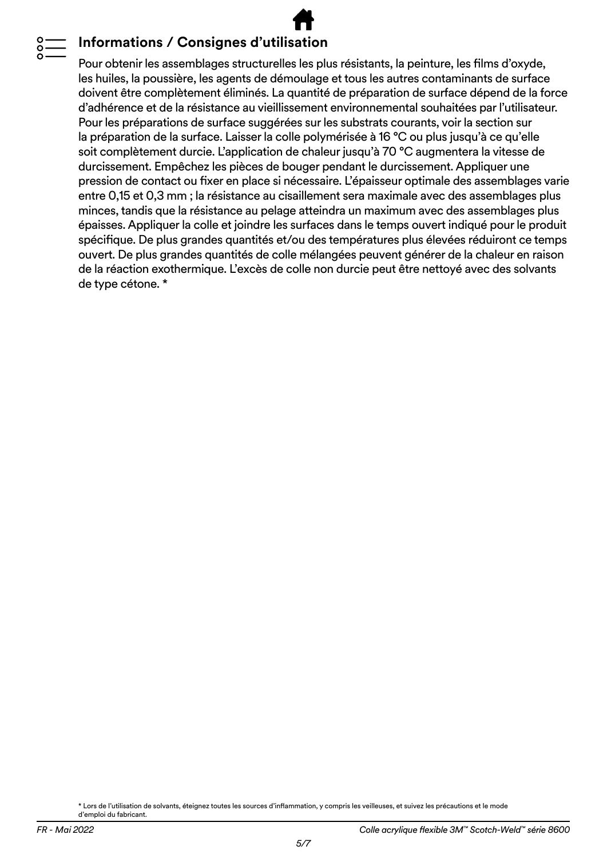# **Informations / Consignes d'utilisation**

Pour obtenir les assemblages structurelles les plus résistants, la peinture, les films d'oxyde, les huiles, la poussière, les agents de démoulage et tous les autres contaminants de surface doivent être complètement éliminés. La quantité de préparation de surface dépend de la force d'adhérence et de la résistance au vieillissement environnemental souhaitées par l'utilisateur. Pour les préparations de surface suggérées sur les substrats courants, voir la section sur la préparation de la surface. Laisser la colle polymérisée à 16 °C ou plus jusqu'à ce qu'elle soit complètement durcie. L'application de chaleur jusqu'à 70 °C augmentera la vitesse de durcissement. Empêchez les pièces de bouger pendant le durcissement. Appliquer une pression de contact ou fixer en place si nécessaire. L'épaisseur optimale des assemblages varie entre 0,15 et 0,3 mm ; la résistance au cisaillement sera maximale avec des assemblages plus minces, tandis que la résistance au pelage atteindra un maximum avec des assemblages plus épaisses. Appliquer la colle et joindre les surfaces dans le temps ouvert indiqué pour le produit spécifique. De plus grandes quantités et/ou des températures plus élevées réduiront ce temps ouvert. De plus grandes quantités de colle mélangées peuvent générer de la chaleur en raison de la réaction exothermique. L'excès de colle non durcie peut être nettoyé avec des solvants de type cétone. \*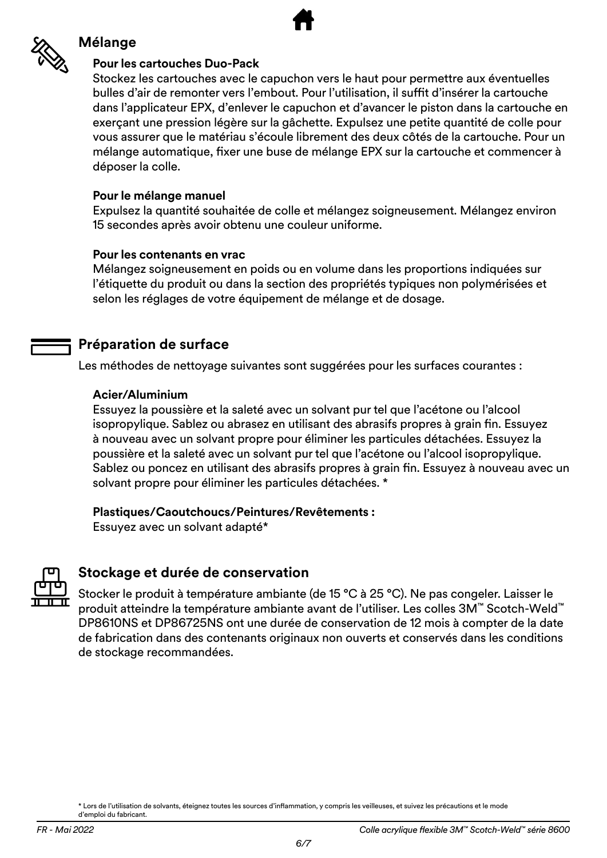

# **Mélange**

### **Pour les cartouches Duo-Pack**

Stockez les cartouches avec le capuchon vers le haut pour permettre aux éventuelles bulles d'air de remonter vers l'embout. Pour l'utilisation, il suffit d'insérer la cartouche dans l'applicateur EPX, d'enlever le capuchon et d'avancer le piston dans la cartouche en exerçant une pression légère sur la gâchette. Expulsez une petite quantité de colle pour vous assurer que le matériau s'écoule librement des deux côtés de la cartouche. Pour un mélange automatique, fixer une buse de mélange EPX sur la cartouche et commencer à déposer la colle.

# **Pour le mélange manuel**

Expulsez la quantité souhaitée de colle et mélangez soigneusement. Mélangez environ 15 secondes après avoir obtenu une couleur uniforme.

### **Pour les contenants en vrac**

Mélangez soigneusement en poids ou en volume dans les proportions indiquées sur l'étiquette du produit ou dans la section des propriétés typiques non polymérisées et selon les réglages de votre équipement de mélange et de dosage.

# **Préparation de surface**

Les méthodes de nettoyage suivantes sont suggérées pour les surfaces courantes :

# **Acier/Aluminium**

Essuyez la poussière et la saleté avec un solvant pur tel que l'acétone ou l'alcool isopropylique. Sablez ou abrasez en utilisant des abrasifs propres à grain fin. Essuyez à nouveau avec un solvant propre pour éliminer les particules détachées. Essuyez la poussière et la saleté avec un solvant pur tel que l'acétone ou l'alcool isopropylique. Sablez ou poncez en utilisant des abrasifs propres à grain fin. Essuyez à nouveau avec un solvant propre pour éliminer les particules détachées. \*

# **Plastiques/Caoutchoucs/Peintures/Revêtements :**

Essuyez avec un solvant adapté\*

# **Stockage et durée de conservation**

Stocker le produit à température ambiante (de 15 °C à 25 °C). Ne pas congeler. Laisser le produit atteindre la température ambiante avant de l'utiliser. Les colles 3M™ Scotch-Weld™ DP8610NS et DP86725NS ont une durée de conservation de 12 mois à compter de la date de fabrication dans des contenants originaux non ouverts et conservés dans les conditions de stockage recommandées.

\* Lors de l'utilisation de solvants, éteignez toutes les sources d'inflammation, y compris les veilleuses, et suivez les précautions et le mode d'emploi du fabricant.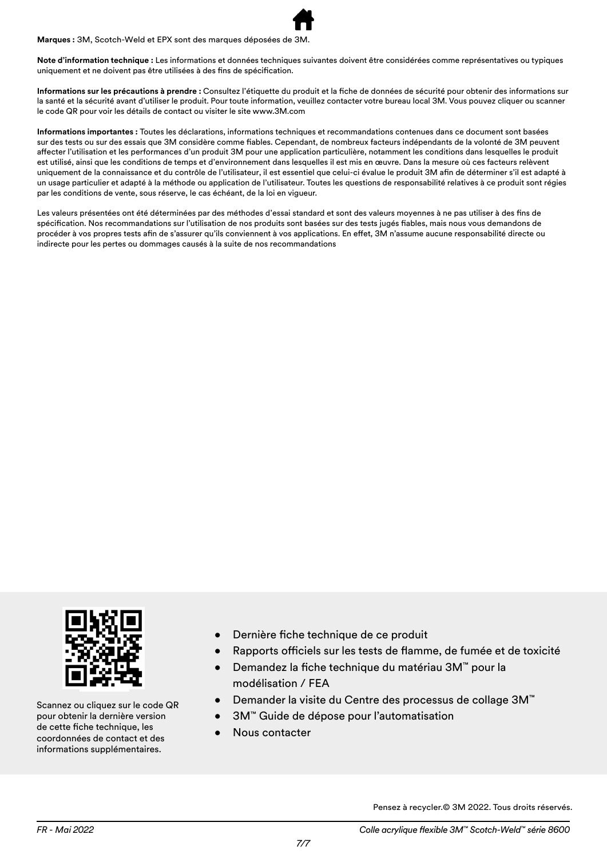**Marques :** 3M, Scotch-Weld et EPX sont des marques déposées de 3M.

**Note d'information technique :** Les informations et données techniques suivantes doivent être considérées comme représentatives ou typiques uniquement et ne doivent pas être utilisées à des fins de spécification.

**Informations sur les précautions à prendre :** Consultez l'étiquette du produit et la fiche de données de sécurité pour obtenir des informations sur la santé et la sécurité avant d'utiliser le produit. Pour toute information, veuillez contacter votre bureau local 3M. Vous pouvez cliquer ou scanner le code QR pour voir les détails de contact ou visiter le site www.3M.com

**Informations importantes :** Toutes les déclarations, informations techniques et recommandations contenues dans ce document sont basées sur des tests ou sur des essais que 3M considère comme fiables. Cependant, de nombreux facteurs indépendants de la volonté de 3M peuvent affecter l'utilisation et les performances d'un produit 3M pour une application particulière, notamment les conditions dans lesquelles le produit est utilisé, ainsi que les conditions de temps et d'environnement dans lesquelles il est mis en œuvre. Dans la mesure où ces facteurs relèvent uniquement de la connaissance et du contrôle de l'utilisateur, il est essentiel que celui-ci évalue le produit 3M afin de déterminer s'il est adapté à un usage particulier et adapté à la méthode ou application de l'utilisateur. Toutes les questions de responsabilité relatives à ce produit sont régies par les conditions de vente, sous réserve, le cas échéant, de la loi en vigueur.

Les valeurs présentées ont été déterminées par des méthodes d'essai standard et sont des valeurs moyennes à ne pas utiliser à des fins de spécification. Nos recommandations sur l'utilisation de nos produits sont basées sur des tests jugés fiables, mais nous vous demandons de procéder à vos propres tests afin de s'assurer qu'ils conviennent à vos applications. En effet, 3M n'assume aucune responsabilité directe ou indirecte pour les pertes ou dommages causés à la suite de nos recommandations



Scannez ou cliquez sur le code QR pour obtenir la dernière version de cette fiche technique, les coordonnées de contact et des informations supplémentaires.

- Dernière fiche technique de ce produit
- Rapports officiels sur les tests de flamme, de fumée et de toxicité
- Demandez la fiche technique du matériau 3M™ pour la modélisation / FEA
- Demander la visite du Centre des processus de collage 3M™
- 3M™ Guide de dépose pour l'automatisation
- Nous contacter

Pensez à recycler.© 3M 2022. Tous droits réservés.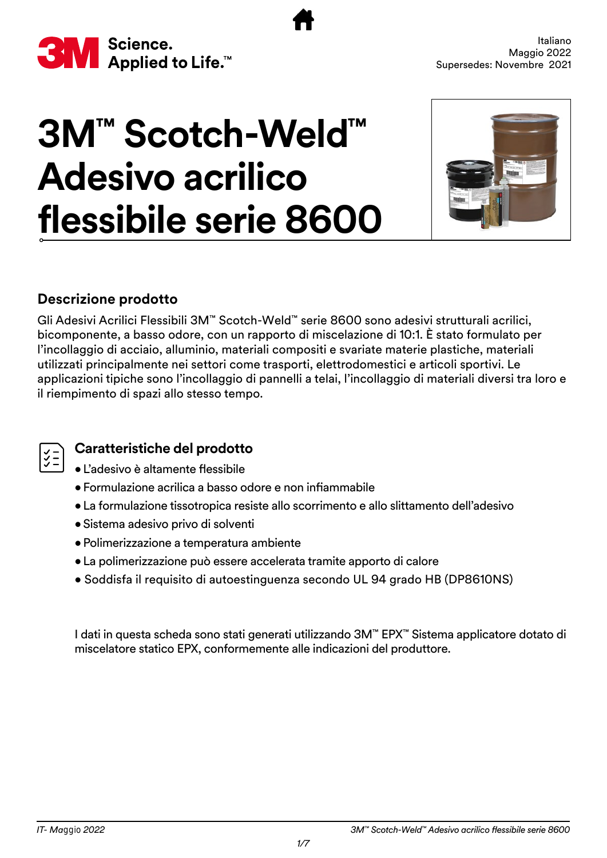<span id="page-22-0"></span>

# **3M™ Scotch-Weld™ Adesivo acrilico flessibile serie 8600**



# **Descrizione prodotto**

Gli Adesivi Acrilici Flessibili 3M™ Scotch-Weld™ serie 8600 sono adesivi strutturali acrilici, bicomponente, a basso odore, con un rapporto di miscelazione di 10:1. È stato formulato per l'incollaggio di acciaio, alluminio, materiali compositi e svariate materie plastiche, materiali utilizzati principalmente nei settori come trasporti, elettrodomestici e articoli sportivi. Le applicazioni tipiche sono l'incollaggio di pannelli a telai, l'incollaggio di materiali diversi tra loro e il riempimento di spazi allo stesso tempo.

# **Caratteristiche del prodotto**

- L'adesivo è altamente flessibile
- Formulazione acrilica a basso odore e non infiammabile
- La formulazione tissotropica resiste allo scorrimento e allo slittamento dell'adesivo
- Sistema adesivo privo di solventi
- Polimerizzazione a temperatura ambiente
- La polimerizzazione può essere accelerata tramite apporto di calore
- Soddisfa il requisito di autoestinguenza secondo UL 94 grado HB (DP8610NS)

I dati in questa scheda sono stati generati utilizzando 3M™ EPX™ Sistema applicatore dotato di miscelatore statico EPX, conformemente alle indicazioni del produttore.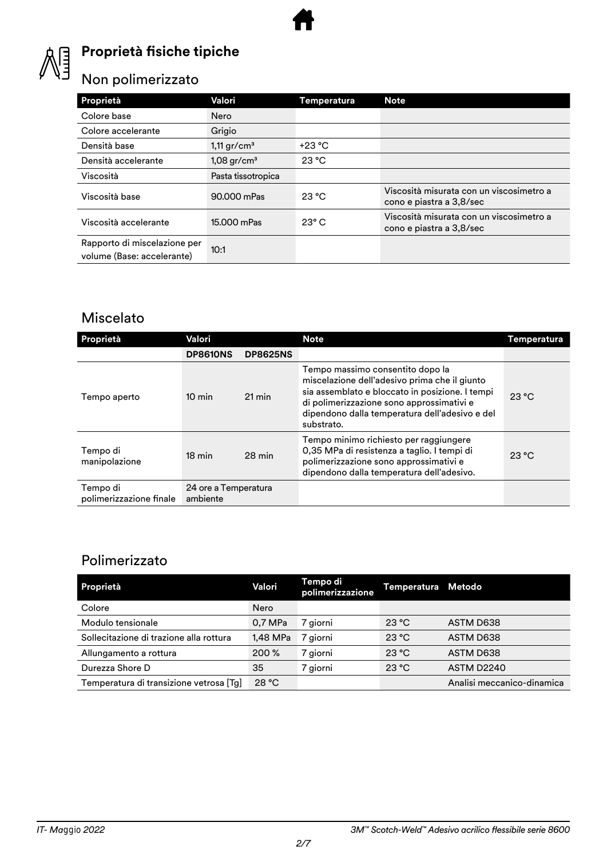

# **Proprietà fisiche tipiche**

# Non polimerizzato

| Proprietà                                                  | Valori                    | Temperatura    | <b>Note</b>                                                          |
|------------------------------------------------------------|---------------------------|----------------|----------------------------------------------------------------------|
| Colore base                                                | Nero                      |                |                                                                      |
| Colore accelerante                                         | Grigio                    |                |                                                                      |
| Densità base                                               | $1,11$ gr/cm <sup>3</sup> | $+23 °C$       |                                                                      |
| Densità accelerante                                        | $1,08$ gr/cm <sup>3</sup> | 23 °C          |                                                                      |
| Viscosità                                                  | Pasta tissotropica        |                |                                                                      |
| Viscosità base                                             | 90.000 mPas               | 23 °C          | Viscosità misurata con un viscosimetro a<br>cono e piastra a 3,8/sec |
| Viscosità accelerante                                      | 15.000 mPas               | $23^{\circ}$ C | Viscosità misurata con un viscosimetro a<br>cono e piastra a 3,8/sec |
| Rapporto di miscelazione per<br>volume (Base: accelerante) | 10:1                      |                |                                                                      |

# Miscelato

| Proprietà                           | Valori                           |                     | <b>Note</b>                                                                                                                                                                                                                                       | Temperatura |
|-------------------------------------|----------------------------------|---------------------|---------------------------------------------------------------------------------------------------------------------------------------------------------------------------------------------------------------------------------------------------|-------------|
|                                     | <b>DP8610NS</b>                  | <b>DP8625NS</b>     |                                                                                                                                                                                                                                                   |             |
| Tempo aperto                        | $10 \text{ min}$                 | $21 \,\mathrm{min}$ | Tempo massimo consentito dopo la<br>miscelazione dell'adesivo prima che il giunto<br>sia assemblato e bloccato in posizione. I tempi<br>di polimerizzazione sono approssimativi e<br>dipendono dalla temperatura dell'adesivo e del<br>substrato. | 23 °C       |
| Tempo di<br>manipolazione           | $18 \text{ min}$                 | $28 \text{ min}$    | Tempo minimo richiesto per raggiungere<br>0,35 MPa di resistenza a taglio. I tempi di<br>polimerizzazione sono approssimativi e<br>dipendono dalla temperatura dell'adesivo.                                                                      | 23 °C       |
| Tempo di<br>polimerizzazione finale | 24 ore a Temperatura<br>ambiente |                     |                                                                                                                                                                                                                                                   |             |

# Polimerizzato

| Proprietà                               | Valori   | Tempo di<br>polimerizzazione | Temperatura Metodo |                            |
|-----------------------------------------|----------|------------------------------|--------------------|----------------------------|
| Colore                                  | Nero     |                              |                    |                            |
| Modulo tensionale                       | 0,7 MPa  | ' giorni                     | 23 °C              | ASTM D638                  |
| Sollecitazione di trazione alla rottura | 1.48 MPa | 7 giorni                     | 23 °C              | ASTM D638                  |
| Allungamento a rottura                  | 200 %    | 7 giorni                     | 23 °C              | ASTM D638                  |
| Durezza Shore D                         | 35       | 7 giorni                     | 23 °C              | ASTM D2240                 |
| Temperatura di transizione vetrosa [Tg] | 28 °C    |                              |                    | Analisi meccanico-dinamica |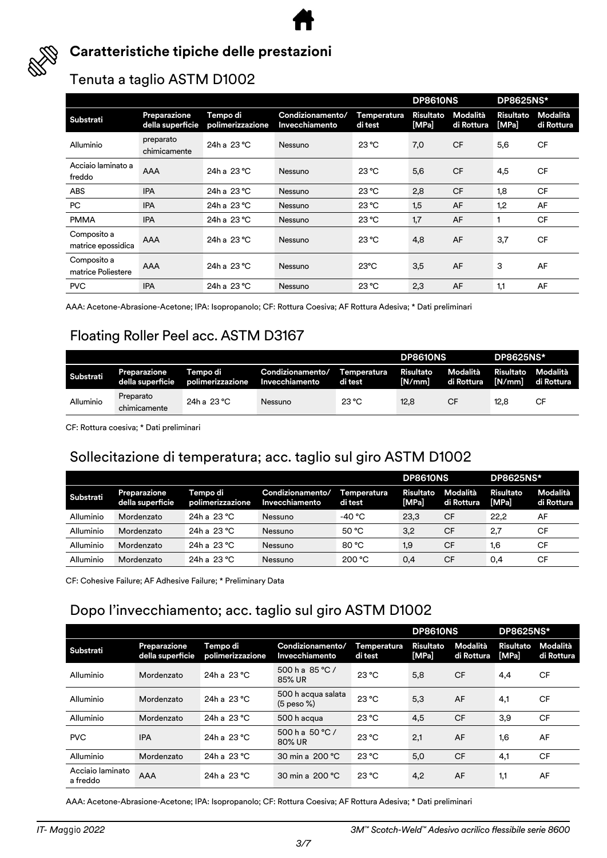

# **Caratteristiche tipiche delle prestazioni**

# Tenuta a taglio ASTM D1002

|                                   |                                  |                              |                                    |                        | <b>DP8610NS</b>           |                        | <b>DP8625NS*</b>   |                        |
|-----------------------------------|----------------------------------|------------------------------|------------------------------------|------------------------|---------------------------|------------------------|--------------------|------------------------|
| <b>Substrati</b>                  | Preparazione<br>della superficie | Tempo di<br>polimerizzazione | Condizionamento/<br>Invecchiamento | Temperatura<br>di test | <b>Risultato</b><br>[MPa] | Modalità<br>di Rottura | Risultato<br>[MPa] | Modalità<br>di Rottura |
| Alluminio                         | preparato<br>chimicamente        | 24h a 23 °C                  | Nessuno                            | $23^{\circ}$ C         | 7,0                       | <b>CF</b>              | 5,6                | CF                     |
| Acciaio laminato a<br>freddo      | <b>AAA</b>                       | 24h a 23 °C                  | Nessuno                            | $23^{\circ}$ C         | 5,6                       | <b>CF</b>              | 4,5                | <b>CF</b>              |
| <b>ABS</b>                        | <b>IPA</b>                       | 24h a 23 °C                  | Nessuno                            | $23^{\circ}$ C         | 2,8                       | <b>CF</b>              | 1,8                | <b>CF</b>              |
| PC                                | <b>IPA</b>                       | 24h a 23 °C                  | Nessuno                            | $23^{\circ}$ C         | 1,5                       | AF                     | 1,2                | AF                     |
| <b>PMMA</b>                       | <b>IPA</b>                       | 24h a 23 °C                  | Nessuno                            | $23^{\circ}$ C         | 1,7                       | AF                     |                    | CF                     |
| Composito a<br>matrice epossidica | AAA                              | 24h a 23 °C                  | Nessuno                            | $23^{\circ}$ C         | 4,8                       | AF                     | 3,7                | <b>CF</b>              |
| Composito a<br>matrice Poliestere | <b>AAA</b>                       | 24h a 23 °C                  | Nessuno                            | $23^{\circ}$ C         | 3,5                       | AF                     | 3                  | AF                     |
| <b>PVC</b>                        | <b>IPA</b>                       | 24h a 23 °C                  | Nessuno                            | $23^{\circ}$ C         | 2,3                       | AF                     | 1,1                | AF                     |

AAA: Acetone-Abrasione-Acetone; IPA: Isopropanolo; CF: Rottura Coesiva; AF Rottura Adesiva; \* Dati preliminari

# Floating Roller Peel acc. ASTM D3167

|           |                                  |                              |                                                |                | <b>DP8610NS</b>     |                        | <b>DP8625NS*</b>    |                        |
|-----------|----------------------------------|------------------------------|------------------------------------------------|----------------|---------------------|------------------------|---------------------|------------------------|
| Substrati | Preparazione<br>della superficie | Tempo di<br>polimerizzazione | Condizionamento/ Temperatura<br>Invecchiamento | di test        | Risultato<br>[N/mm] | Modalità<br>di Rottura | Risultato<br>[N/mm] | Modalità<br>di Rottura |
| Alluminio | Preparato<br>chimicamente        | 24h a 23 °C                  | Nessuno                                        | $23^{\circ}$ C | 12,8                | СF                     | 12,8                | СF                     |

CF: Rottura coesiva; \* Dati preliminari

# Sollecitazione di temperatura; acc. taglio sul giro ASTM D1002

|                  |                                  |                              |                                    |                        | <b>DP8610NS</b>    |                        | <b>DP8625NS*</b>          |                        |
|------------------|----------------------------------|------------------------------|------------------------------------|------------------------|--------------------|------------------------|---------------------------|------------------------|
| <b>Substrati</b> | Preparazione<br>della superficie | Tempo di<br>polimerizzazione | Condizionamento/<br>Invecchiamento | Temperatura<br>di test | Risultato<br>[MPa] | Modalità<br>di Rottura | <b>Risultato</b><br>[MPa] | Modalità<br>di Rottura |
| Alluminio        | Mordenzato                       | 24h a 23 °C                  | Nessuno                            | -40 °C                 | 23,3               | <b>CF</b>              | 22.2                      | AF                     |
| Alluminio        | Mordenzato                       | 24h a 23 °C                  | Nessuno                            | 50 °C                  | 3.2                | <b>CF</b>              | 2.7                       | CF                     |
| Alluminio        | Mordenzato                       | 24h a 23 °C                  | Nessuno                            | 80 °C                  | 1.9                | <b>CF</b>              | 1.6                       | CF                     |
| Alluminio        | Mordenzato                       | 24h a $23^{\circ}$ C         | Nessuno                            | 200 °C                 | 0,4                | <b>CF</b>              | 0.4                       | СF                     |

CF: Cohesive Failure; AF Adhesive Failure; \* Preliminary Data

# Dopo l'invecchiamento; acc. taglio sul giro ASTM D1002

|                              |                                  |                              |                                      |                        | <b>DP8610NS</b>           |                        | <b>DP8625NS*</b>          |                        |
|------------------------------|----------------------------------|------------------------------|--------------------------------------|------------------------|---------------------------|------------------------|---------------------------|------------------------|
| Substrati                    | Preparazione<br>della superficie | Tempo di<br>polimerizzazione | Condizionamento/<br>Invecchiamento   | Temperatura<br>di test | <b>Risultato</b><br>[MPa] | Modalità<br>di Rottura | <b>Risultato</b><br>[MPa] | Modalità<br>di Rottura |
| Alluminio                    | Mordenzato                       | $24h$ a $23°C$               | 500 h a 85 °C /<br>85% UR            | 23 °C                  | 5,8                       | <b>CF</b>              | 4,4                       | <b>CF</b>              |
| Alluminio                    | Mordenzato                       | $24h$ a $23°C$               | 500 h acqua salata<br>$(5$ peso $%)$ | 23 °C                  | 5,3                       | AF                     | 4,1                       | <b>CF</b>              |
| Alluminio                    | Mordenzato                       | $24h$ a $23°C$               | 500 h acqua                          | 23 °C                  | 4,5                       | <b>CF</b>              | 3,9                       | CF                     |
| <b>PVC</b>                   | <b>IPA</b>                       | $24h$ a $23°C$               | 500 h a $50 °C/$<br>80% UR           | 23 °C                  | 2.1                       | AF                     | 1.6                       | AF                     |
| Alluminio                    | Mordenzato                       | 24h a $23 °C$                | 30 min a 200 °C                      | 23 °C                  | 5,0                       | <b>CF</b>              | 4,1                       | <b>CF</b>              |
| Acciaio laminato<br>a freddo | AAA                              | $24h$ a $23°C$               | 30 min a 200 °C                      | 23 °C                  | 4,2                       | AF                     | 1,1                       | AF                     |

AAA: Acetone-Abrasione-Acetone; IPA: Isopropanolo; CF: Rottura Coesiva; AF Rottura Adesiva; \* Dati preliminari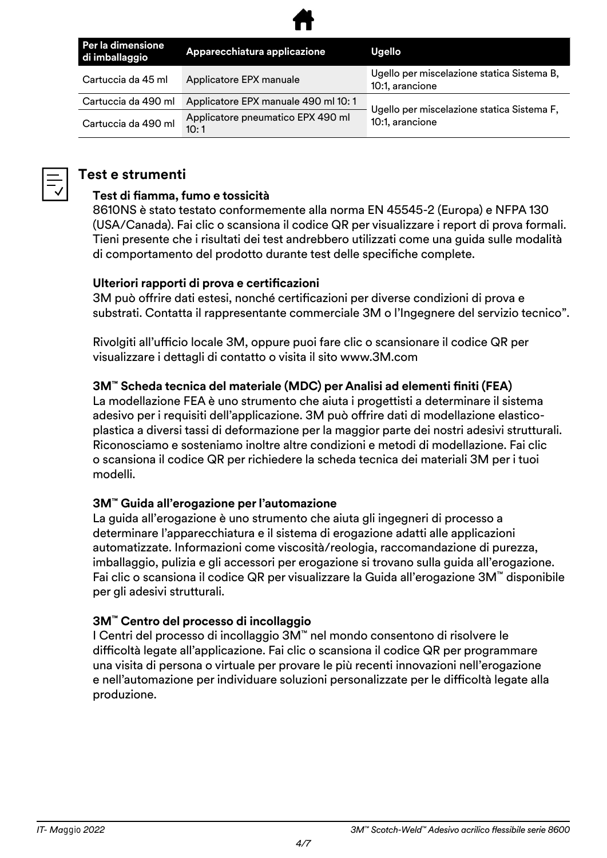

| Per la dimensione<br>di imballaggio                              | Apparecchiatura applicazione        | Ugello                                                        |  |  |
|------------------------------------------------------------------|-------------------------------------|---------------------------------------------------------------|--|--|
| Cartuccia da 45 ml                                               | Applicatore EPX manuale             | Ugello per miscelazione statica Sistema B,<br>10:1, arancione |  |  |
| Cartuccia da 490 ml                                              | Applicatore EPX manuale 490 ml 10:1 |                                                               |  |  |
| Applicatore pneumatico EPX 490 ml<br>Cartuccia da 490 ml<br>10:1 |                                     | Ugello per miscelazione statica Sistema F,<br>10:1, arancione |  |  |



# **Test e strumenti**

# **Test di fiamma, fumo e tossicità**

8610NS è stato testato conformemente alla norma EN 45545-2 (Europa) e NFPA 130 (USA/Canada). Fai clic o scansiona il codice QR per visualizzare i report di prova formali. Tieni presente che i risultati dei test andrebbero utilizzati come una guida sulle modalità di comportamento del prodotto durante test delle specifiche complete.

# **Ulteriori rapporti di prova e certificazioni**

3M può offrire dati estesi, nonché certificazioni per diverse condizioni di prova e substrati. Contatta il rappresentante commerciale 3M o l'Ingegnere del servizio tecnico".

Rivolgiti all'ufficio locale 3M, oppure puoi fare clic o scansionare il codice QR per visualizzare i dettagli di contatto o visita il sito www.3M.com

# **3M™ Scheda tecnica del materiale (MDC) per Analisi ad elementi finiti (FEA)**

La modellazione FEA è uno strumento che aiuta i progettisti a determinare il sistema adesivo per i requisiti dell'applicazione. 3M può offrire dati di modellazione elasticoplastica a diversi tassi di deformazione per la maggior parte dei nostri adesivi strutturali. Riconosciamo e sosteniamo inoltre altre condizioni e metodi di modellazione. Fai clic o scansiona il codice QR per richiedere la scheda tecnica dei materiali 3M per i tuoi modelli.

# **3M™ Guida all'erogazione per l'automazione**

La guida all'erogazione è uno strumento che aiuta gli ingegneri di processo a determinare l'apparecchiatura e il sistema di erogazione adatti alle applicazioni automatizzate. Informazioni come viscosità/reologia, raccomandazione di purezza, imballaggio, pulizia e gli accessori per erogazione si trovano sulla guida all'erogazione. Fai clic o scansiona il codice QR per visualizzare la Guida all'erogazione 3M™ disponibile per gli adesivi strutturali.

# **3M™ Centro del processo di incollaggio**

I Centri del processo di incollaggio 3M™ nel mondo consentono di risolvere le difficoltà legate all'applicazione. Fai clic o scansiona il codice QR per programmare una visita di persona o virtuale per provare le più recenti innovazioni nell'erogazione e nell'automazione per individuare soluzioni personalizzate per le difficoltà legate alla produzione.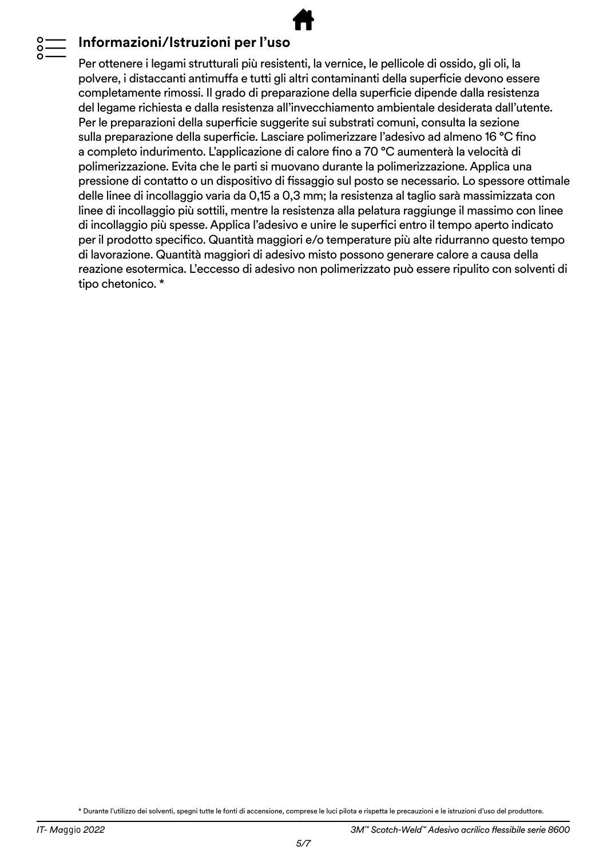# **Informazioni/Istruzioni per l'uso**

Per ottenere i legami strutturali più resistenti, la vernice, le pellicole di ossido, gli oli, la polvere, i distaccanti antimuffa e tutti gli altri contaminanti della superficie devono essere completamente rimossi. Il grado di preparazione della superficie dipende dalla resistenza del legame richiesta e dalla resistenza all'invecchiamento ambientale desiderata dall'utente. Per le preparazioni della superficie suggerite sui substrati comuni, consulta la sezione sulla preparazione della superficie. Lasciare polimerizzare l'adesivo ad almeno 16 °C fino a completo indurimento. L'applicazione di calore fino a 70 °C aumenterà la velocità di polimerizzazione. Evita che le parti si muovano durante la polimerizzazione. Applica una pressione di contatto o un dispositivo di fissaggio sul posto se necessario. Lo spessore ottimale delle linee di incollaggio varia da 0,15 a 0,3 mm; la resistenza al taglio sarà massimizzata con linee di incollaggio più sottili, mentre la resistenza alla pelatura raggiunge il massimo con linee di incollaggio più spesse. Applica l'adesivo e unire le superfici entro il tempo aperto indicato per il prodotto specifico. Quantità maggiori e/o temperature più alte ridurranno questo tempo di lavorazione. Quantità maggiori di adesivo misto possono generare calore a causa della reazione esotermica. L'eccesso di adesivo non polimerizzato può essere ripulito con solventi di tipo chetonico. \*

\* Durante l'utilizzo dei solventi, spegni tutte le fonti di accensione, comprese le luci pilota e rispetta le precauzioni e le istruzioni d'uso del produttore.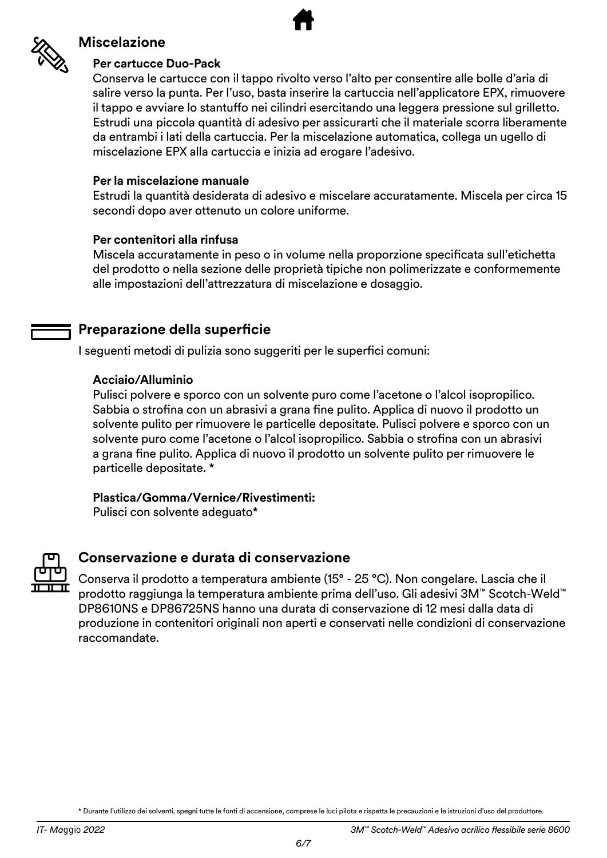

# **Miscelazione**

# **Per cartucce Duo-Pack**

Conserva le cartucce con il tappo rivolto verso l'alto per consentire alle bolle d'aria di salire verso la punta. Per l'uso, basta inserire la cartuccia nell'applicatore EPX, rimuovere il tappo e avviare lo stantuffo nei cilindri esercitando una leggera pressione sul grilletto. Estrudi una piccola quantità di adesivo per assicurarti che il materiale scorra liberamente da entrambi i lati della cartuccia. Per la miscelazione automatica, collega un ugello di miscelazione EPX alla cartuccia e inizia ad erogare l'adesivo.

# **Per la miscelazione manuale**

Estrudi la quantità desiderata di adesivo e miscelare accuratamente. Miscela per circa 15 secondi dopo aver ottenuto un colore uniforme.

# **Per contenitori alla rinfusa**

Miscela accuratamente in peso o in volume nella proporzione specificata sull'etichetta del prodotto o nella sezione delle proprietà tipiche non polimerizzate e conformemente alle impostazioni dell'attrezzatura di miscelazione e dosaggio.

# **Preparazione della superficie**

I seguenti metodi di pulizia sono suggeriti per le superfici comuni:

# **Acciaio/Alluminio**

Pulisci polvere e sporco con un solvente puro come l'acetone o l'alcol isopropilico. Sabbia o strofina con un abrasivi a grana fine pulito. Applica di nuovo il prodotto un solvente pulito per rimuovere le particelle depositate. Pulisci polvere e sporco con un solvente puro come l'acetone o l'alcol isopropilico. Sabbia o strofina con un abrasivi a grana fine pulito. Applica di nuovo il prodotto un solvente pulito per rimuovere le particelle depositate. \*

# **Plastica/Gomma/Vernice/Rivestimenti:**

Pulisci con solvente adeguato\*



# **Conservazione e durata di conservazione**

Conserva il prodotto a temperatura ambiente (15° - 25 °C). Non congelare. Lascia che il prodotto raggiunga la temperatura ambiente prima dell'uso. Gli adesivi 3M™ Scotch-Weld™ DP8610NS e DP86725NS hanno una durata di conservazione di 12 mesi dalla data di produzione in contenitori originali non aperti e conservati nelle condizioni di conservazione raccomandate.

<sup>\*</sup> Durante l'utilizzo dei solventi, spegni tutte le fonti di accensione, comprese le luci pilota e rispetta le precauzioni e le istruzioni d'uso del produttore.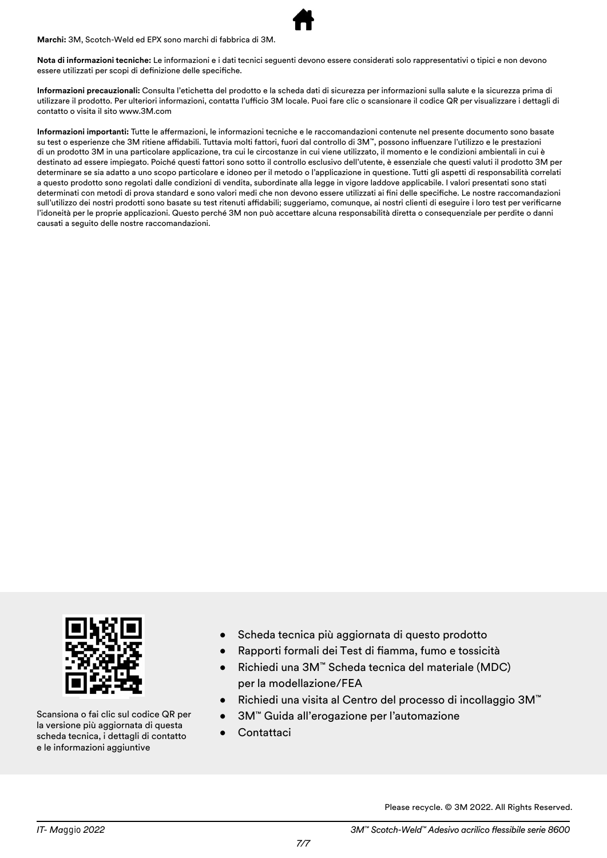**Marchi:** 3M, Scotch-Weld ed EPX sono marchi di fabbrica di 3M.



**Informazioni precauzionali:** Consulta l'etichetta del prodotto e la scheda dati di sicurezza per informazioni sulla salute e la sicurezza prima di utilizzare il prodotto. Per ulteriori informazioni, contatta l'ufficio 3M locale. Puoi fare clic o scansionare il codice QR per visualizzare i dettagli di contatto o visita il sito www.3M.com

**Informazioni importanti:** Tutte le affermazioni, le informazioni tecniche e le raccomandazioni contenute nel presente documento sono basate su test o esperienze che 3M ritiene affidabili. Tuttavia molti fattori, fuori dal controllo di 3M™, possono influenzare l'utilizzo e le prestazioni di un prodotto 3M in una particolare applicazione, tra cui le circostanze in cui viene utilizzato, il momento e le condizioni ambientali in cui è destinato ad essere impiegato. Poiché questi fattori sono sotto il controllo esclusivo dell'utente, è essenziale che questi valuti il prodotto 3M per determinare se sia adatto a uno scopo particolare e idoneo per il metodo o l'applicazione in questione. Tutti gli aspetti di responsabilità correlati a questo prodotto sono regolati dalle condizioni di vendita, subordinate alla legge in vigore laddove applicabile. I valori presentati sono stati determinati con metodi di prova standard e sono valori medi che non devono essere utilizzati ai fini delle specifiche. Le nostre raccomandazioni sull'utilizzo dei nostri prodotti sono basate su test ritenuti affidabili; suggeriamo, comunque, ai nostri clienti di eseguire i loro test per verificarne l'idoneità per le proprie applicazioni. Questo perché 3M non può accettare alcuna responsabilità diretta o consequenziale per perdite o danni causati a seguito delle nostre raccomandazioni.



Scansiona o fai clic sul codice QR per la versione più aggiornata di questa scheda tecnica, i dettagli di contatto e le informazioni aggiuntive

- Scheda tecnica più aggiornata di questo prodotto
- Rapporti formali dei Test di fiamma, fumo e tossicità
- Richiedi una 3M™ Scheda tecnica del materiale (MDC) per la modellazione/FEA
- Richiedi una visita al Centro del processo di incollaggio 3M™
- 3M™ Guida all'erogazione per l'automazione
- Contattaci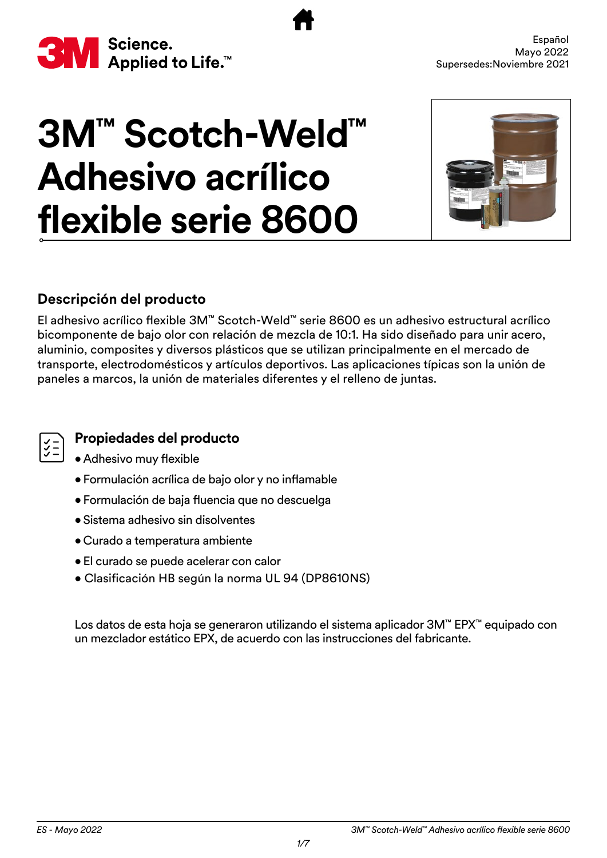<span id="page-29-0"></span>

# **3M™ Scotch-Weld™ Adhesivo acrílico flexible serie 8600**



# **Descripción del producto**

El adhesivo acrílico flexible 3M™ Scotch-Weld™ serie 8600 es un adhesivo estructural acrílico bicomponente de bajo olor con relación de mezcla de 10:1. Ha sido diseñado para unir acero, aluminio, composites y diversos plásticos que se utilizan principalmente en el mercado de transporte, electrodomésticos y artículos deportivos. Las aplicaciones típicas son la unión de paneles a marcos, la unión de materiales diferentes y el relleno de juntas.



# **Propiedades del producto**

- Adhesivo muy flexible
- Formulación acrílica de bajo olor y no inflamable
- Formulación de baja fluencia que no descuelga
- Sistema adhesivo sin disolventes
- Curado a temperatura ambiente
- El curado se puede acelerar con calor
- Clasificación HB según la norma UL 94 (DP8610NS)

Los datos de esta hoja se generaron utilizando el sistema aplicador 3M™ EPX™ equipado con un mezclador estático EPX, de acuerdo con las instrucciones del fabricante.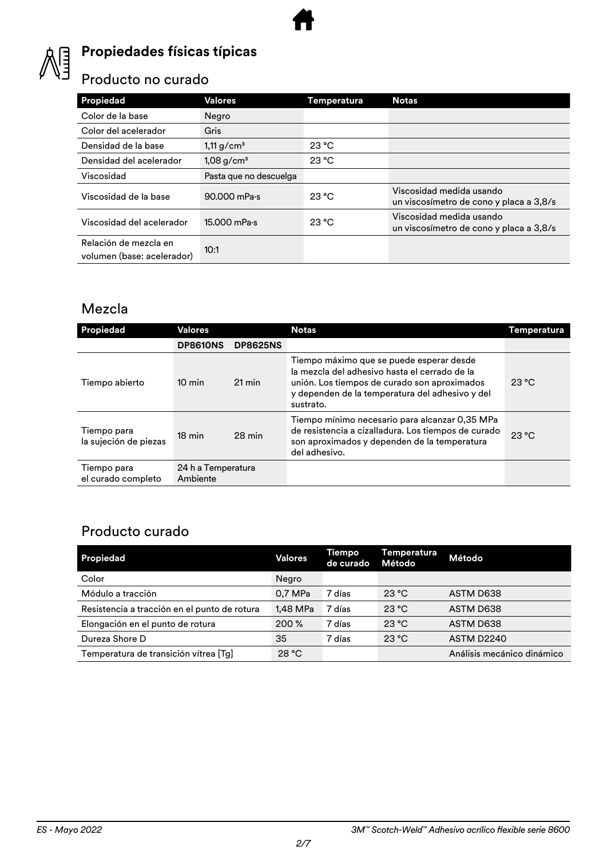

# **Propiedades físicas típicas**

# Producto no curado

| <b>Propiedad</b>                                    | Valores                  | Temperatura | <b>Notas</b>                                                        |
|-----------------------------------------------------|--------------------------|-------------|---------------------------------------------------------------------|
| Color de la base                                    | Negro                    |             |                                                                     |
| Color del acelerador                                | Gris                     |             |                                                                     |
| Densidad de la base                                 | $1,11$ g/cm <sup>3</sup> | 23 °C       |                                                                     |
| Densidad del acelerador                             | $1,08$ g/cm <sup>3</sup> | 23 °C       |                                                                     |
| Viscosidad                                          | Pasta que no descuelga   |             |                                                                     |
| Viscosidad de la base                               | 90.000 mPa-s             | 23 °C       | Viscosidad medida usando<br>un viscosímetro de cono y placa a 3,8/s |
| Viscosidad del acelerador                           | $15.000$ mPa $\cdot$ s   | 23 °C       | Viscosidad medida usando<br>un viscosímetro de cono y placa a 3,8/s |
| Relación de mezcla en<br>volumen (base: acelerador) | 10:1                     |             |                                                                     |

# Mezcla

| Propiedad                            | Valores                        |                     | <b>Notas</b>                                                                                                                                                                                              | Temperatura |
|--------------------------------------|--------------------------------|---------------------|-----------------------------------------------------------------------------------------------------------------------------------------------------------------------------------------------------------|-------------|
|                                      | <b>DP8610NS</b>                | <b>DP8625NS</b>     |                                                                                                                                                                                                           |             |
| Tiempo abierto                       | $10 \text{ min}$               | $21 \,\mathrm{min}$ | Tiempo máximo que se puede esperar desde<br>la mezcla del adhesivo hasta el cerrado de la<br>unión. Los tiempos de curado son aproximados<br>y dependen de la temperatura del adhesivo y del<br>sustrato. | 23 °C       |
| Tiempo para<br>la sujeción de piezas | $18 \text{ min}$               | $28$ min            | Tiempo mínimo necesario para alcanzar 0,35 MPa<br>de resistencia a cizalladura. Los tiempos de curado<br>son aproximados y dependen de la temperatura<br>del adhesivo.                                    | 23 °C       |
| Tiempo para<br>el curado completo    | 24 h a Temperatura<br>Ambiente |                     |                                                                                                                                                                                                           |             |

# Producto curado

| Propiedad                                    | <b>Valores</b> | Tiempo<br>de curado | Temperatura<br>Método | Método                     |
|----------------------------------------------|----------------|---------------------|-----------------------|----------------------------|
| Color                                        | Negro          |                     |                       |                            |
| Módulo a tracción                            | 0,7 MPa        | 7 días              | 23 °C                 | ASTM D638                  |
| Resistencia a tracción en el punto de rotura | 1.48 MPa       | 7 días              | 23 °C                 | ASTM D638                  |
| Elongación en el punto de rotura             | 200 %          | 7 días              | 23 °C                 | ASTM D638                  |
| Dureza Shore D                               | 35             | 7 días              | 23 °C                 | ASTM D2240                 |
| Temperatura de transición vítrea [Tg]        | 28 °C          |                     |                       | Análisis mecánico dinámico |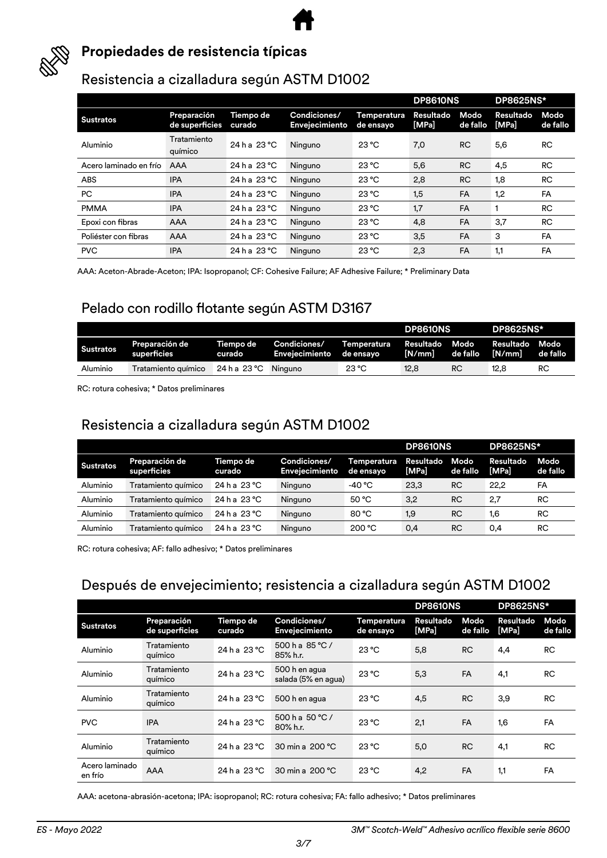

# **Propiedades de resistencia típicas**

# Resistencia a cizalladura según ASTM D1002

|                        |                               |                     |                                |                          | <b>DP8610NS</b>           |                  | <b>DP8625NS*</b>   |                  |
|------------------------|-------------------------------|---------------------|--------------------------------|--------------------------|---------------------------|------------------|--------------------|------------------|
| <b>Sustratos</b>       | Preparación<br>de superficies | Tiempo de<br>curado | Condiciones/<br>Envejecimiento | Temperatura<br>de ensayo | <b>Resultado</b><br>[MPa] | Modo<br>de fallo | Resultado<br>[MPa] | Modo<br>de fallo |
| Aluminio               | Tratamiento<br>químico        | 24 h a 23°C         | Ninguno                        | 23 °C                    | 7,0                       | <b>RC</b>        | 5,6                | <b>RC</b>        |
| Acero laminado en frío | AAA                           | 24 h a 23 °C        | Ninguno                        | $23^{\circ}$ C           | 5,6                       | <b>RC</b>        | 4,5                | <b>RC</b>        |
| <b>ABS</b>             | <b>IPA</b>                    | 24 h a 23 °C        | Ninguno                        | 23 °C                    | 2,8                       | <b>RC</b>        | 1,8                | <b>RC</b>        |
| PC.                    | <b>IPA</b>                    | 24 h a 23 °C        | Ninguno                        | 23 °C                    | 1,5                       | FA               | 1,2                | FA               |
| <b>PMMA</b>            | <b>IPA</b>                    | 24 h a 23 °C        | Ninguno                        | 23 °C                    | 1.7                       | FA               |                    | <b>RC</b>        |
| Epoxi con fibras       | <b>AAA</b>                    | 24 h a 23 °C        | Ninguno                        | 23 °C                    | 4,8                       | FA               | 3,7                | <b>RC</b>        |
| Poliéster con fibras   | AAA                           | 24 h a 23 °C        | Ninguno                        | 23 °C                    | 3,5                       | FA               | 3                  | FA               |
| <b>PVC</b>             | <b>IPA</b>                    | 24 h a 23 °C        | Ninguno                        | $23^{\circ}$ C           | 2.3                       | FA               | 1,1                | FA               |

AAA: Aceton-Abrade-Aceton; IPA: Isopropanol; CF: Cohesive Failure; AF Adhesive Failure; \* Preliminary Data

# Pelado con rodillo flotante según ASTM D3167

|                  |                               |                     |                                          |             | <b>DP8610NS</b>     |                  | <b>DP8625NS*</b>    |                  |
|------------------|-------------------------------|---------------------|------------------------------------------|-------------|---------------------|------------------|---------------------|------------------|
| <b>Sustratos</b> | Preparación de<br>superficies | Tiempo de<br>curado | Condiciones/<br>Enveiecimiento de ensavo | Temperatura | Resultado<br>[N/mm] | Modo<br>de fallo | Resultado<br>[N/mm] | Modo<br>de fallo |
| Aluminio         | Tratamiento químico           | 24 h a 23 °C        | Ninguno                                  | 23 °C       | 12.8                | RC               | 12.8                | RC               |

RC: rotura cohesiva; \* Datos preliminares

# Resistencia a cizalladura según ASTM D1002

|                  |                               |                     |                                       |                          | DP8610NS           |                  | <b>DP8625NS*</b>          |                  |
|------------------|-------------------------------|---------------------|---------------------------------------|--------------------------|--------------------|------------------|---------------------------|------------------|
| <b>Sustratos</b> | Preparación de<br>superficies | Tiempo de<br>curado | Condiciones/<br><b>Envejecimiento</b> | Temperatura<br>de ensayo | Resultado<br>[MPa] | Modo<br>de fallo | Resultado<br><b>IMPal</b> | Modo<br>de fallo |
| Aluminio         | Tratamiento químico           | $24 h$ a $23 °C$    | Ninguno                               | -40 °C                   | 23.3               | <b>RC</b>        | 22.2                      | FA               |
| Aluminio         | Tratamiento guímico           | $24$ h a $23$ °C    | Ninguno                               | 50 °C                    | 3,2                | <b>RC</b>        | 2.7                       | <b>RC</b>        |
| Aluminio         | Tratamiento guímico           | $24$ h a $23$ °C    | Ninguno                               | 80 °C                    | 1,9                | <b>RC</b>        | 1.6                       | <b>RC</b>        |
| Aluminio         | Tratamiento químico           | $24$ h a $23$ °C    | Ninguno                               | 200 °C                   | 0,4                | <b>RC</b>        | 0.4                       | <b>RC</b>        |

RC: rotura cohesiva; AF: fallo adhesivo; \* Datos preliminares

# Después de envejecimiento; resistencia a cizalladura según ASTM D1002

|                           |                               |                     |                                       |                          | <b>DP8610NS</b>    |                  | <b>DP8625NS*</b>   |                  |
|---------------------------|-------------------------------|---------------------|---------------------------------------|--------------------------|--------------------|------------------|--------------------|------------------|
| <b>Sustratos</b>          | Preparación<br>de superficies | Tiempo de<br>curado | Condiciones/<br><b>Envejecimiento</b> | Temperatura<br>de ensayo | Resultado<br>[MPa] | Modo<br>de fallo | Resultado<br>[MPa] | Modo<br>de fallo |
| Aluminio                  | Tratamiento<br>químico        | 24 h a 23 °C        | 500 h a $85^{\circ}$ C /<br>85% h.r.  | 23 °C                    | 5,8                | <b>RC</b>        | 4,4                | RC               |
| Aluminio                  | Tratamiento<br>químico        | 24 h a 23 °C        | 500 h en agua<br>salada (5% en agua)  | 23 °C                    | 5,3                | FA               | 4,1                | <b>RC</b>        |
| Aluminio                  | Tratamiento<br>químico        | 24 h a 23 °C        | 500 h en agua                         | 23 °C                    | 4,5                | <b>RC</b>        | 3,9                | <b>RC</b>        |
| <b>PVC</b>                | <b>IPA</b>                    | 24 h a 23 °C        | 500 h a $50 °C/$<br>80% h.r.          | 23 °C                    | 2,1                | FA               | 1,6                | FA               |
| Aluminio                  | Tratamiento<br>químico        | 24 h a 23 °C        | 30 min a 200 °C                       | $23^{\circ}$ C           | 5,0                | <b>RC</b>        | 4,1                | <b>RC</b>        |
| Acero laminado<br>en frío | AAA                           | $24$ h a $23$ °C    | 30 min a 200 °C                       | 23 °C                    | 4,2                | FA               | 1,1                | FA               |

AAA: acetona-abrasión-acetona; IPA: isopropanol; RC: rotura cohesiva; FA: fallo adhesivo; \* Datos preliminares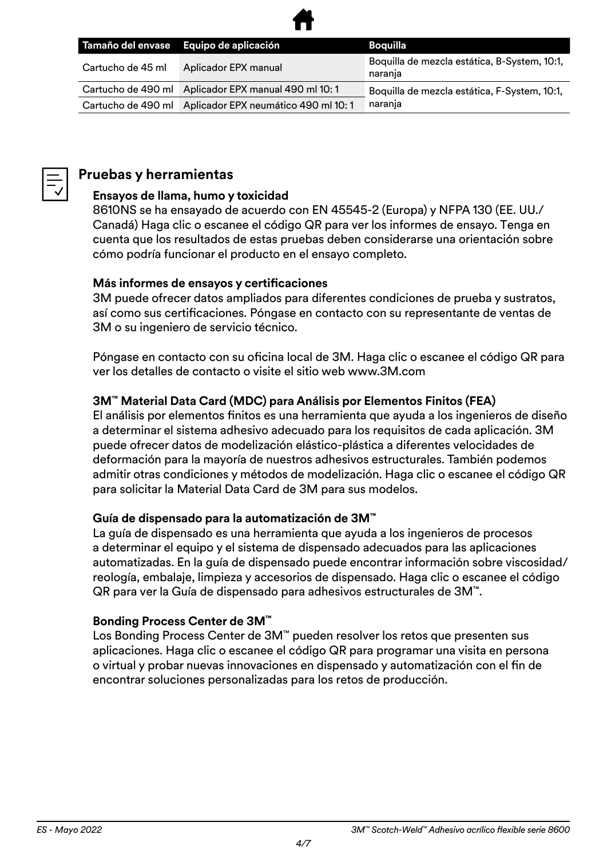

|                   | Tamaño del envase Equipo de aplicación                 | Boquilla                                                |
|-------------------|--------------------------------------------------------|---------------------------------------------------------|
| Cartucho de 45 ml | Aplicador EPX manual                                   | Boquilla de mezcla estática, B-System, 10:1,<br>naranja |
|                   | Cartucho de 490 ml Aplicador EPX manual 490 ml 10:1    | Boquilla de mezcla estática, F-System, 10:1,            |
|                   | Cartucho de 490 ml Aplicador EPX neumático 490 ml 10:1 | naranja                                                 |



# **Pruebas y herramientas**

# **Ensayos de llama, humo y toxicidad**

8610NS se ha ensayado de acuerdo con EN 45545-2 (Europa) y NFPA 130 (EE. UU./ Canadá) Haga clic o escanee el código QR para ver los informes de ensayo. Tenga en cuenta que los resultados de estas pruebas deben considerarse una orientación sobre cómo podría funcionar el producto en el ensayo completo.

# **Más informes de ensayos y certificaciones**

3M puede ofrecer datos ampliados para diferentes condiciones de prueba y sustratos, así como sus certificaciones. Póngase en contacto con su representante de ventas de 3M o su ingeniero de servicio técnico.

Póngase en contacto con su oficina local de 3M. Haga clic o escanee el código QR para ver los detalles de contacto o visite el sitio web www.3M.com

# **3M™ Material Data Card (MDC) para Análisis por Elementos Finitos (FEA)**

El análisis por elementos finitos es una herramienta que ayuda a los ingenieros de diseño a determinar el sistema adhesivo adecuado para los requisitos de cada aplicación. 3M puede ofrecer datos de modelización elástico-plástica a diferentes velocidades de deformación para la mayoría de nuestros adhesivos estructurales. También podemos admitir otras condiciones y métodos de modelización. Haga clic o escanee el código QR para solicitar la Material Data Card de 3M para sus modelos.

# **Guía de dispensado para la automatización de 3M™**

La guía de dispensado es una herramienta que ayuda a los ingenieros de procesos a determinar el equipo y el sistema de dispensado adecuados para las aplicaciones automatizadas. En la guía de dispensado puede encontrar información sobre viscosidad/ reología, embalaje, limpieza y accesorios de dispensado. Haga clic o escanee el código QR para ver la Guía de dispensado para adhesivos estructurales de 3M™.

# **Bonding Process Center de 3M™**

Los Bonding Process Center de 3M™ pueden resolver los retos que presenten sus aplicaciones. Haga clic o escanee el código QR para programar una visita en persona o virtual y probar nuevas innovaciones en dispensado y automatización con el fin de encontrar soluciones personalizadas para los retos de producción.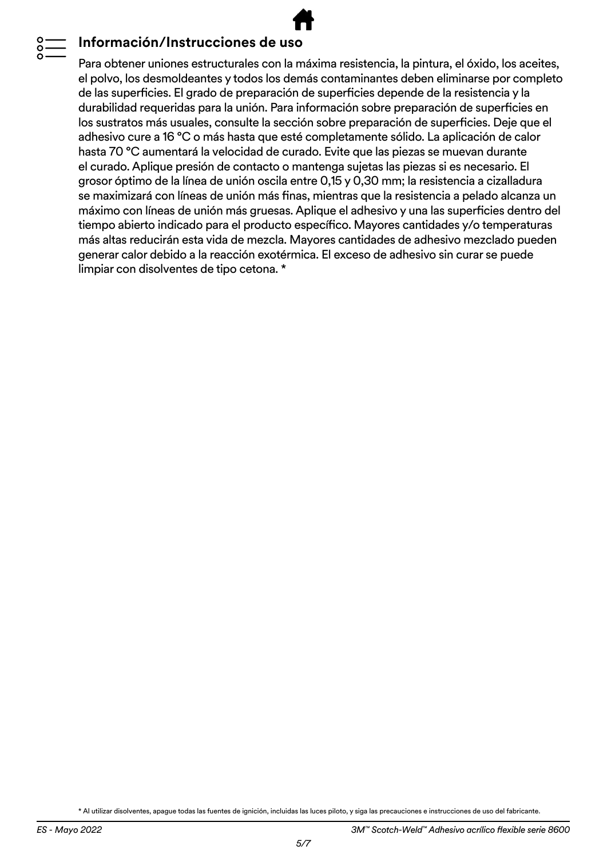# **Información/Instrucciones de uso**

Para obtener uniones estructurales con la máxima resistencia, la pintura, el óxido, los aceites, el polvo, los desmoldeantes y todos los demás contaminantes deben eliminarse por completo de las superficies. El grado de preparación de superficies depende de la resistencia y la durabilidad requeridas para la unión. Para información sobre preparación de superficies en los sustratos más usuales, consulte la sección sobre preparación de superficies. Deje que el adhesivo cure a 16 °C o más hasta que esté completamente sólido. La aplicación de calor hasta 70 °C aumentará la velocidad de curado. Evite que las piezas se muevan durante el curado. Aplique presión de contacto o mantenga sujetas las piezas si es necesario. El grosor óptimo de la línea de unión oscila entre 0,15 y 0,30 mm; la resistencia a cizalladura se maximizará con líneas de unión más finas, mientras que la resistencia a pelado alcanza un máximo con líneas de unión más gruesas. Aplique el adhesivo y una las superficies dentro del tiempo abierto indicado para el producto específico. Mayores cantidades y/o temperaturas más altas reducirán esta vida de mezcla. Mayores cantidades de adhesivo mezclado pueden generar calor debido a la reacción exotérmica. El exceso de adhesivo sin curar se puede limpiar con disolventes de tipo cetona. \*

\* Al utilizar disolventes, apague todas las fuentes de ignición, incluidas las luces piloto, y siga las precauciones e instrucciones de uso del fabricante.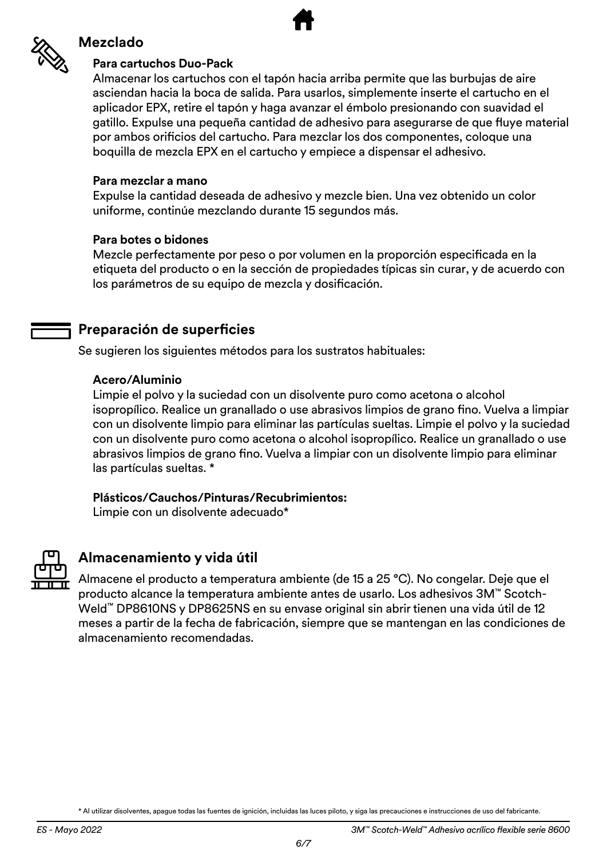

# **Mezclado**

# **Para cartuchos Duo-Pack**

Almacenar los cartuchos con el tapón hacia arriba permite que las burbujas de aire asciendan hacia la boca de salida. Para usarlos, simplemente inserte el cartucho en el aplicador EPX, retire el tapón y haga avanzar el émbolo presionando con suavidad el gatillo. Expulse una pequeña cantidad de adhesivo para asegurarse de que fluye material por ambos orificios del cartucho. Para mezclar los dos componentes, coloque una boquilla de mezcla EPX en el cartucho y empiece a dispensar el adhesivo.

### **Para mezclar a mano**

Expulse la cantidad deseada de adhesivo y mezcle bien. Una vez obtenido un color uniforme, continúe mezclando durante 15 segundos más.

# **Para botes o bidones**

Mezcle perfectamente por peso o por volumen en la proporción especificada en la etiqueta del producto o en la sección de propiedades típicas sin curar, y de acuerdo con los parámetros de su equipo de mezcla y dosificación.

# **Preparación de superficies**

Se sugieren los siguientes métodos para los sustratos habituales:

# **Acero/Aluminio**

Limpie el polvo y la suciedad con un disolvente puro como acetona o alcohol isopropílico. Realice un granallado o use abrasivos limpios de grano fino. Vuelva a limpiar con un disolvente limpio para eliminar las partículas sueltas. Limpie el polvo y la suciedad con un disolvente puro como acetona o alcohol isopropílico. Realice un granallado o use abrasivos limpios de grano fino. Vuelva a limpiar con un disolvente limpio para eliminar las partículas sueltas. \*

# **Plásticos/Cauchos/Pinturas/Recubrimientos:**

Limpie con un disolvente adecuado\*



# **Almacenamiento y vida útil**

Almacene el producto a temperatura ambiente (de 15 a 25 °C). No congelar. Deje que el producto alcance la temperatura ambiente antes de usarlo. Los adhesivos 3M™ Scotch-Weld™ DP8610NS y DP8625NS en su envase original sin abrir tienen una vida útil de 12 meses a partir de la fecha de fabricación, siempre que se mantengan en las condiciones de almacenamiento recomendadas.

\* Al utilizar disolventes, apague todas las fuentes de ignición, incluidas las luces piloto, y siga las precauciones e instrucciones de uso del fabricante.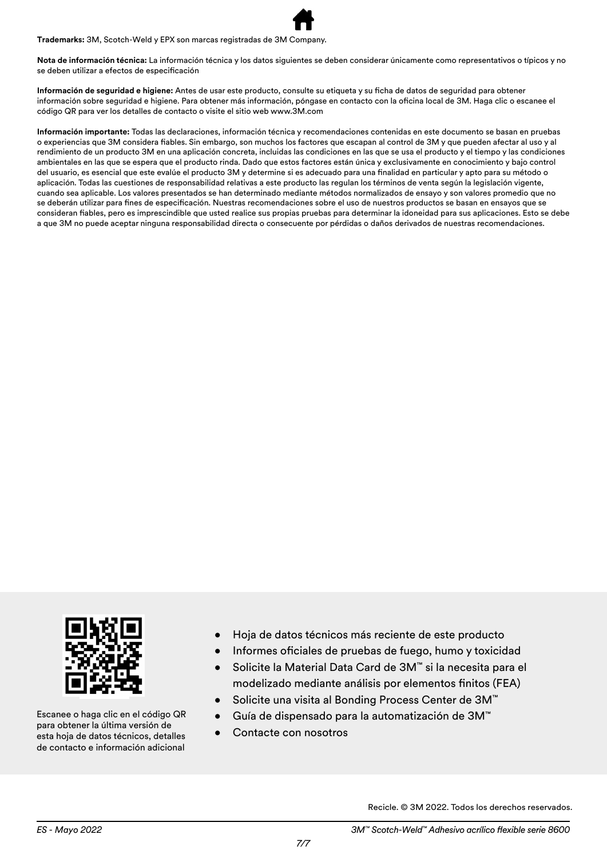**Trademarks:** 3M, Scotch-Weld y EPX son marcas registradas de 3M Company.

**Nota de información técnica:** La información técnica y los datos siguientes se deben considerar únicamente como representativos o típicos y no se deben utilizar a efectos de especificación

**Información de seguridad e higiene:** Antes de usar este producto, consulte su etiqueta y su ficha de datos de seguridad para obtener información sobre seguridad e higiene. Para obtener más información, póngase en contacto con la oficina local de 3M. Haga clic o escanee el código QR para ver los detalles de contacto o visite el sitio web www.3M.com

**Información importante:** Todas las declaraciones, información técnica y recomendaciones contenidas en este documento se basan en pruebas o experiencias que 3M considera fiables. Sin embargo, son muchos los factores que escapan al control de 3M y que pueden afectar al uso y al rendimiento de un producto 3M en una aplicación concreta, incluidas las condiciones en las que se usa el producto y el tiempo y las condiciones ambientales en las que se espera que el producto rinda. Dado que estos factores están única y exclusivamente en conocimiento y bajo control del usuario, es esencial que este evalúe el producto 3M y determine si es adecuado para una finalidad en particular y apto para su método o aplicación. Todas las cuestiones de responsabilidad relativas a este producto las regulan los términos de venta según la legislación vigente, cuando sea aplicable. Los valores presentados se han determinado mediante métodos normalizados de ensayo y son valores promedio que no se deberán utilizar para fines de especificación. Nuestras recomendaciones sobre el uso de nuestros productos se basan en ensayos que se consideran fiables, pero es imprescindible que usted realice sus propias pruebas para determinar la idoneidad para sus aplicaciones. Esto se debe a que 3M no puede aceptar ninguna responsabilidad directa o consecuente por pérdidas o daños derivados de nuestras recomendaciones.



Escanee o haga clic en el código QR para obtener la última versión de esta hoja de datos técnicos, detalles de contacto e información adicional

- Hoja de datos técnicos más reciente de este producto
- Informes oficiales de pruebas de fuego, humo y toxicidad
- Solicite la Material Data Card de 3M™ si la necesita para el modelizado mediante análisis por elementos finitos (FEA)
- Solicite una visita al Bonding Process Center de 3M™
- Guía de dispensado para la automatización de 3M™
- Contacte con nosotros

Recicle. © 3M 2022. Todos los derechos reservados.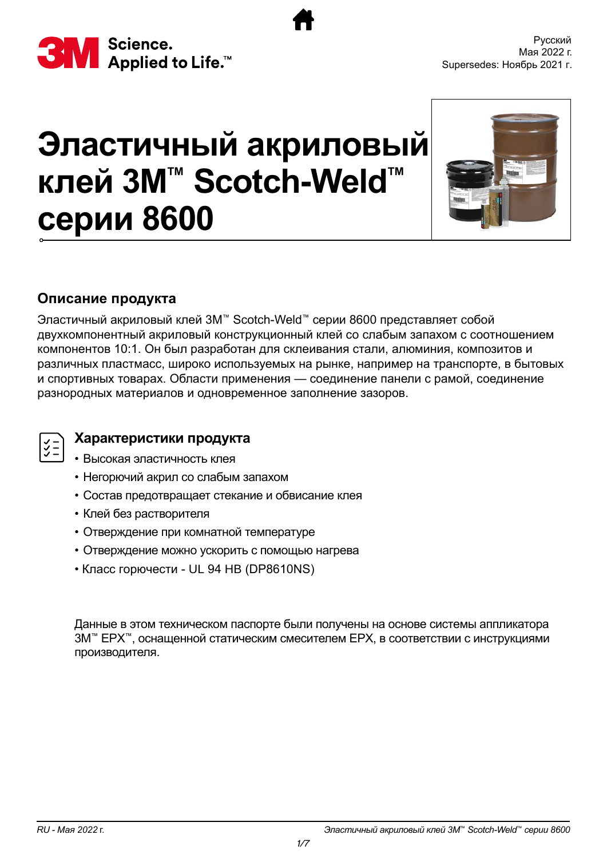<span id="page-36-0"></span>

# **Эластичный акриловый клей 3M™ Scotch-Weld™ серии 8600**



# **Описание продукта**

Эластичный акриловый клей 3M™ Scotch-Weld™ серии 8600 представляет собой двухкомпонентный акриловый конструкционный клей со слабым запахом с соотношением компонентов 10:1. Он был разработан для склеивания стали, алюминия, композитов и различных пластмасс, широко используемых на рынке, например на транспорте, в бытовых и спортивных товарах. Области применения — соединение панели с рамой, соединение разнородных материалов и одновременное заполнение зазоров.



# **Характеристики продукта**

- Высокая эластичность клея
- Негорючий акрил со слабым запахом
- Состав предотвращает стекание и обвисание клея
- Клей без растворителя
- Отверждение при комнатной температуре
- Отверждение можно ускорить с помощью нагрева
- Класс горючести UL 94 HB (DP8610NS)

Данные в этом техническом паспорте были получены на основе системы аппликатора 3M™ EPX™, оснащенной статическим смесителем EPX, в соответствии с инструкциями производителя.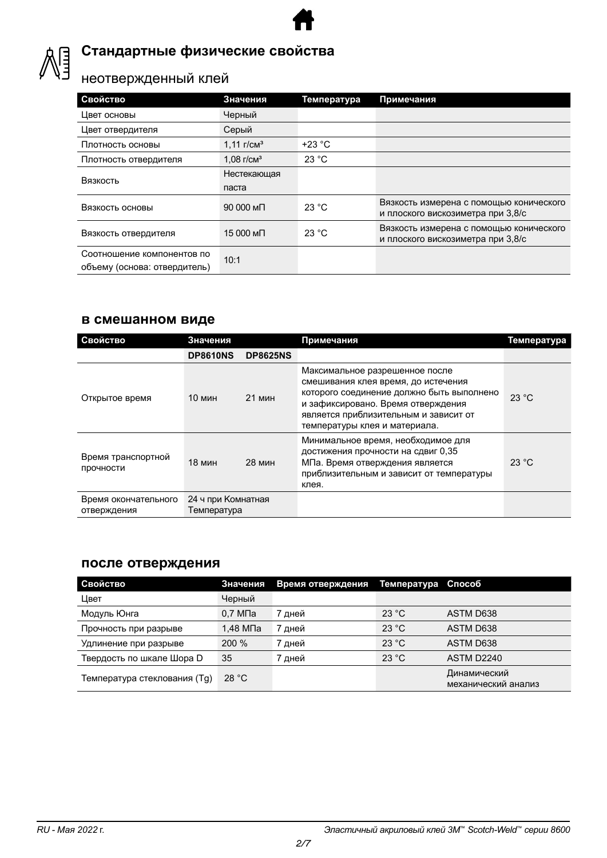

# **Стандартные физические свойства**

# неотвержденный клей

| Свойство                     | Значения                        | Температура | Примечания                                                                   |
|------------------------------|---------------------------------|-------------|------------------------------------------------------------------------------|
| Цвет основы                  | Черный                          |             |                                                                              |
| Цвет отвердителя             | Серый                           |             |                                                                              |
| Плотность основы             | $1.11$ $\Gamma$ / $\text{CM}^3$ | $+23 °C$    |                                                                              |
| Плотность отвердителя        | $1.08$ $r/cm3$                  | 23 °C       |                                                                              |
| Вязкость                     | Нестекающая                     |             |                                                                              |
|                              | паста                           |             |                                                                              |
| Вязкость основы              | $90000$ M $\Pi$                 | 23 °C       | Вязкость измерена с помощью конического<br>и плоского вискозиметра при 3,8/с |
| Вязкость отвердителя         | 15 000 мП                       | 23 °C       | Вязкость измерена с помощью конического<br>и плоского вискозиметра при 3,8/с |
| Соотношение компонентов по   | 10:1                            |             |                                                                              |
| объему (основа: отвердитель) |                                 |             |                                                                              |

# **в смешанном виде**

| Свойство                            | Значения                          |                 | Примечания                                                                                                                                                                                                                         | Температура |
|-------------------------------------|-----------------------------------|-----------------|------------------------------------------------------------------------------------------------------------------------------------------------------------------------------------------------------------------------------------|-------------|
|                                     | <b>DP8610NS</b>                   | <b>DP8625NS</b> |                                                                                                                                                                                                                                    |             |
| Открытое время                      | <b>10 мин</b>                     | 21 мин          | Максимальное разрешенное после<br>смешивания клея время, до истечения<br>которого соединение должно быть выполнено<br>и зафиксировано. Время отверждения<br>является приблизительным и зависит от<br>температуры клея и материала. | 23 °C       |
| Время транспортной<br>прочности     | 18 мин<br>28 мин                  |                 | Минимальное время, необходимое для<br>достижения прочности на сдвиг 0.35<br>МПа. Время отверждения является<br>приблизительным и зависит от температуры<br>клея.                                                                   | 23 °C       |
| Время окончательного<br>отверждения | 24 ч при Комнатная<br>Температура |                 |                                                                                                                                                                                                                                    |             |

# **после отверждения**

| Свойство                     | Значения                             | Время отверждения Температура Способ |       |                                     |
|------------------------------|--------------------------------------|--------------------------------------|-------|-------------------------------------|
| Цвет                         | Черный                               |                                      |       |                                     |
| Модуль Юнга                  | $0.7$ M <sub><math>\Box</math></sub> | ' дней                               | 23 °C | ASTM D638                           |
| Прочность при разрыве        | 1,48 МПа                             | 7 дней                               | 23 °C | ASTM D638                           |
| Удлинение при разрыве        | 200%                                 | ' дней                               | 23 °C | ASTM D638                           |
| Твердость по шкале Шора D    | 35                                   | 7 дней                               | 23 °C | ASTM D2240                          |
| Температура стеклования (Тg) | 28 °C                                |                                      |       | Динамический<br>механический анализ |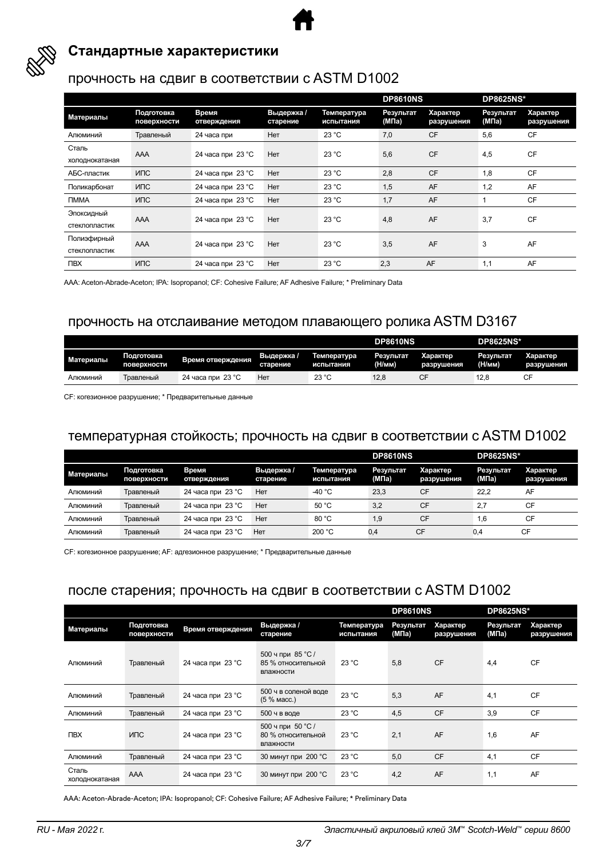

# **Стандартные характеристики**

# прочность на сдвиг в соответствии с ASTM D1002

|                              |                           |                             |                        |                          | <b>DP8610NS</b>    |                        | <b>DP8625NS*</b>   |                        |
|------------------------------|---------------------------|-----------------------------|------------------------|--------------------------|--------------------|------------------------|--------------------|------------------------|
| Материалы                    | Подготовка<br>поверхности | Время<br>отверждения        | Выдержка /<br>старение | Температура<br>испытания | Результат<br>(МПа) | Характер<br>разрушения | Результат<br>(МПа) | Характер<br>разрушения |
| Алюминий                     | Травленый                 | 24 часа при                 | <b>Het</b>             | 23 °C                    | 7,0                | <b>CF</b>              | 5,6                | <b>CF</b>              |
| Сталь<br>холоднокатаная      | <b>AAA</b>                | 24 часа при 23 $^{\circ}$ С | <b>Her</b>             | 23 °C                    | 5,6                | <b>CF</b>              | 4,5                | <b>CF</b>              |
| АБС-пластик                  | <b>ИПС</b>                | 24 часа при 23 $^{\circ}$ С | He <sub>T</sub>        | 23 °C                    | 2,8                | <b>CF</b>              | 1,8                | <b>CF</b>              |
| Поликарбонат                 | <b>ИПС</b>                | 24 часа при 23 $^{\circ}$ С | He <sub>T</sub>        | 23 °C                    | 1,5                | AF                     | 1,2                | AF                     |
| <b>TMMA</b>                  | <b>ИПС</b>                | 24 часа при 23 $^{\circ}$ С | Нет                    | 23 °C                    | 1,7                | AF                     |                    | <b>CF</b>              |
| Эпоксидный<br>стеклопластик  | AAA                       | 24 часа при 23 $^{\circ}$ С | <b>Het</b>             | 23 °C                    | 4,8                | AF                     | 3,7                | <b>CF</b>              |
| Полиэфирный<br>стеклопластик | AAA                       | 24 часа при 23 $^{\circ}$ С | <b>Het</b>             | 23 °C                    | 3,5                | AF                     | 3                  | AF                     |
| <b>TIBX</b>                  | <b>ИПС</b>                | 24 часа при 23 $^{\circ}$ С | <b>Het</b>             | 23 °C                    | 2,3                | AF                     | 1,1                | AF                     |

AAA: Aceton-Abrade-Aceton; IPA: Isopropanol; CF: Cohesive Failure; AF Adhesive Failure; \* Preliminary Data

# прочность на отслаивание методом плавающего ролика ASTM D3167

|           |                           |                             |                        |                          | <b>DP8610NS</b>     |                        | <b>DP8625NS*</b>    |                        |
|-----------|---------------------------|-----------------------------|------------------------|--------------------------|---------------------|------------------------|---------------------|------------------------|
| Материалы | Подготовка<br>поверхности | Время отверждения           | Выдержка /<br>старение | Температура<br>испытания | Результат<br>(Н/мм) | Характер<br>разрушения | Результат<br>(Н/мм) | Характер<br>разрушения |
| Алюминий  | Травленый                 | 24 часа при 23 $^{\circ}$ С | He1                    | 23 °C                    | 12,8                | СF                     | 12.8                |                        |

CF: когезионное разрушение; \* Предварительные данные

# температурная стойкость; прочность на сдвиг в соответствии с ASTM D1002

|           |                           |                             |                        |                          | <b>DP8610NS</b>    |                        | <b>DP8625NS*</b>          |                        |
|-----------|---------------------------|-----------------------------|------------------------|--------------------------|--------------------|------------------------|---------------------------|------------------------|
| Материалы | Подготовка<br>поверхности | Время<br>отверждения        | Выдержка /<br>старение | Температура<br>испытания | Результат<br>(МПа) | Характер<br>разрушения | <b>Результат</b><br>(МПа) | Характер<br>разрушения |
| Алюминий  | Травленый                 | 24 часа при 23 °С           | Нет                    | -40 $^{\circ}$ C         | 23.3               | CF                     | 22.2                      | AF                     |
| Алюминий  | Травленый                 | 24 часа при 23 $^{\circ}$ С | Нет                    | 50 °C                    | 3,2                | <b>CF</b>              | 2.7                       | CF                     |
| Алюминий  | Травленый                 | 24 часа при 23 $^{\circ}$ C | Het                    | 80 °C                    | 1.9                | <b>CF</b>              | 1.6                       | <b>CF</b>              |
| Алюминий  | Травленый                 | 24 часа при 23 $^{\circ}$ C | Het                    | 200 °C                   | 0.4                | <b>CF</b>              | 0.4                       | <b>CF</b>              |

CF: когезионное разрушение; AF: адгезионное разрушение; \* Предварительные данные

# после старения; прочность на сдвиг в соответствии с ASTM D1002

|                         |                           |                             |                                                      |                          | <b>DP8610NS</b>    |                        | <b>DP8625NS*</b>   |                        |
|-------------------------|---------------------------|-----------------------------|------------------------------------------------------|--------------------------|--------------------|------------------------|--------------------|------------------------|
| Материалы               | Подготовка<br>поверхности | Время отверждения           | Выдержка /<br>старение                               | Температура<br>испытания | Результат<br>(МПа) | Характер<br>разрушения | Результат<br>(M∏a) | Характер<br>разрушения |
| Алюминий                | Травленый                 | 24 часа при 23 °С           | 500 ч при 85 °С /<br>85 % относительной<br>влажности | 23 °C                    | 5.8                | <b>CF</b>              | 4,4                | <b>CF</b>              |
| Алюминий                | Травленый                 | 24 часа при 23 °С           | 500 ч в соленой воде<br>(5 % масс.)                  | 23 °C                    | 5,3                | AF                     | 4,1                | <b>CF</b>              |
| Алюминий                | Травленый                 | 24 часа при 23 $^{\circ}$ С | 500 ч в воде                                         | 23 °C                    | 4,5                | <b>CF</b>              | 3,9                | <b>CF</b>              |
| <b>TIBX</b>             | ИПС                       | 24 часа при 23 °С           | 500 ч при 50 °С /<br>80 % относительной<br>влажности | 23 °C                    | 2,1                | AF                     | 1.6                | AF                     |
| Алюминий                | Травленый                 | 24 часа при 23 $^{\circ}$ С | 30 минут при 200 °C                                  | 23 °C                    | 5,0                | <b>CF</b>              | 4,1                | CF                     |
| Сталь<br>холоднокатаная | AAA                       | 24 часа при 23 °С           | 30 минут при 200 °С                                  | 23 °C                    | 4,2                | AF                     | 1,1                | AF                     |

AAA: Aceton-Abrade-Aceton; IPA: Isopropanol; CF: Cohesive Failure; AF Adhesive Failure; \* Preliminary Data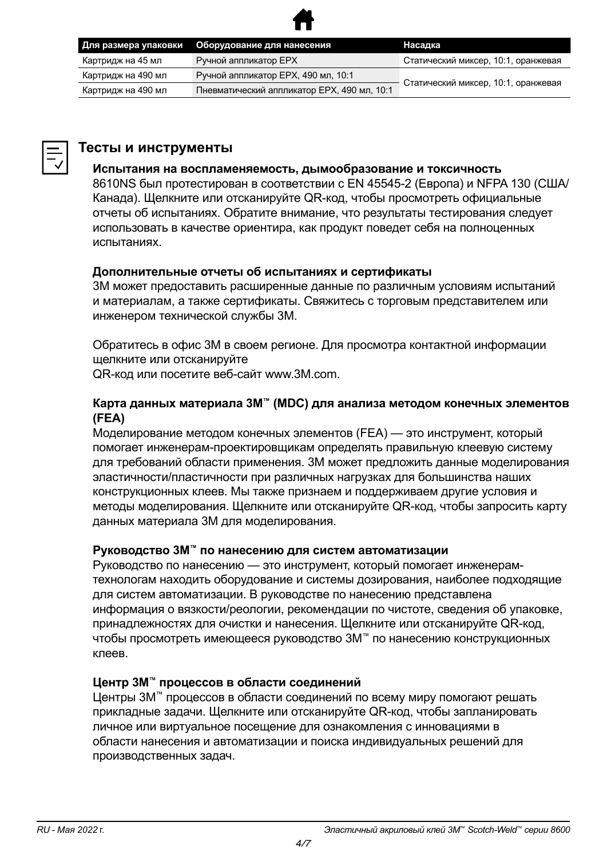|                                                           | Для размера упаковки Оборудование для нанесения | Насадка                             |  |  |
|-----------------------------------------------------------|-------------------------------------------------|-------------------------------------|--|--|
| Картридж на 45 мл                                         | Ручной аппликатор ЕРХ                           | Статический миксер, 10:1, оранжевая |  |  |
| Ручной аппликатор ЕРХ, 490 мл, 10:1<br>Картридж на 490 мл |                                                 | Статический миксер, 10:1, оранжевая |  |  |
| Картридж на 490 мл                                        | Пневматический аппликатор ЕРХ, 490 мл, 10:1     |                                     |  |  |



# **Тесты и инструменты**

# **Испытания на воспламеняемость, дымообразование и токсичность**

8610NS был протестирован в соответствии с EN 45545-2 (Европа) и NFPA 130 (США/ Канада). Щелкните или отсканируйте QR-код, чтобы просмотреть официальные отчеты об испытаниях. Обратите внимание, что результаты тестирования следует использовать в качестве ориентира, как продукт поведет себя на полноценных испытаниях.

# **Дополнительные отчеты об испытаниях и сертификаты**

3M может предоставить расширенные данные по различным условиям испытаний и материалам, а также сертификаты. Свяжитесь с торговым представителем или инженером технической службы 3M.

Обратитесь в офис 3M в своем регионе. Для просмотра контактной информации щелкните или отсканируйте

QR-код или посетите веб-сайт www.3M.com.

# **Карта данных материала 3M™ (MDC) для анализа методом конечных элементов (FEA)**

Моделирование методом конечных элементов (FEA) — это инструмент, который помогает инженерам-проектировщикам определять правильную клеевую систему для требований области применения. 3M может предложить данные моделирования эластичности/пластичности при различных нагрузках для большинства наших конструкционных клеев. Мы также признаем и поддерживаем другие условия и методы моделирования. Щелкните или отсканируйте QR-код, чтобы запросить карту данных материала 3M для моделирования.

# **Руководство 3M™ по нанесению для систем автоматизации**

Руководство по нанесению — это инструмент, который помогает инженерамтехнологам находить оборудование и системы дозирования, наиболее подходящие для систем автоматизации. В руководстве по нанесению представлена информация о вязкости/реологии, рекомендации по чистоте, сведения об упаковке, принадлежностях для очистки и нанесения. Щелкните или отсканируйте QR-код, чтобы просмотреть имеющееся руководство 3M™ по нанесению конструкционных клеев.

# **Центр 3M™ процессов в области соединений**

Центры 3M™ процессов в области соединений по всему миру помогают решать прикладные задачи. Щелкните или отсканируйте QR-код, чтобы запланировать личное или виртуальное посещение для ознакомления с инновациями в области нанесения и автоматизации и поиска индивидуальных решений для производственных задач.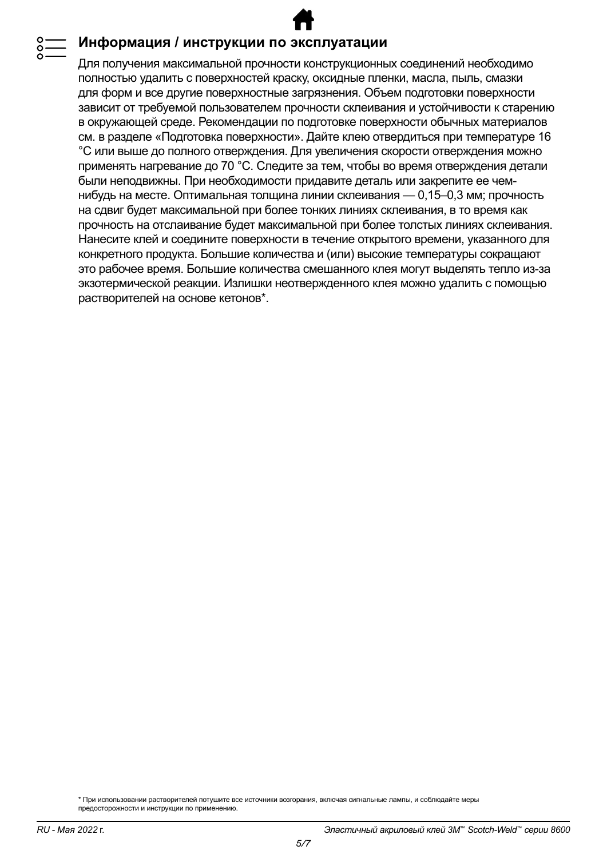# **Информация / инструкции по эксплуатации**

Для получения максимальной прочности конструкционных соединений необходимо полностью удалить с поверхностей краску, оксидные пленки, масла, пыль, смазки для форм и все другие поверхностные загрязнения. Объем подготовки поверхности зависит от требуемой пользователем прочности склеивания и устойчивости к старению в окружающей среде. Рекомендации по подготовке поверхности обычных материалов см. в разделе «Подготовка поверхности». Дайте клею отвердиться при температуре 16 °C или выше до полного отверждения. Для увеличения скорости отверждения можно применять нагревание до 70 °C. Следите за тем, чтобы во время отверждения детали были неподвижны. При необходимости придавите деталь или закрепите ее чемнибудь на месте. Оптимальная толщина линии склеивания — 0,15–0,3 мм; прочность на сдвиг будет максимальной при более тонких линиях склеивания, в то время как прочность на отслаивание будет максимальной при более толстых линиях склеивания. Нанесите клей и соедините поверхности в течение открытого времени, указанного для конкретного продукта. Большие количества и (или) высокие температуры сокращают это рабочее время. Большие количества смешанного клея могут выделять тепло из-за экзотермической реакции. Излишки неотвержденного клея можно удалить с помощью растворителей на основе кетонов\*.

\* При использовании растворителей потушите все источники возгорания, включая сигнальные лампы, и соблюдайте меры предосторожности и инструкции по применению.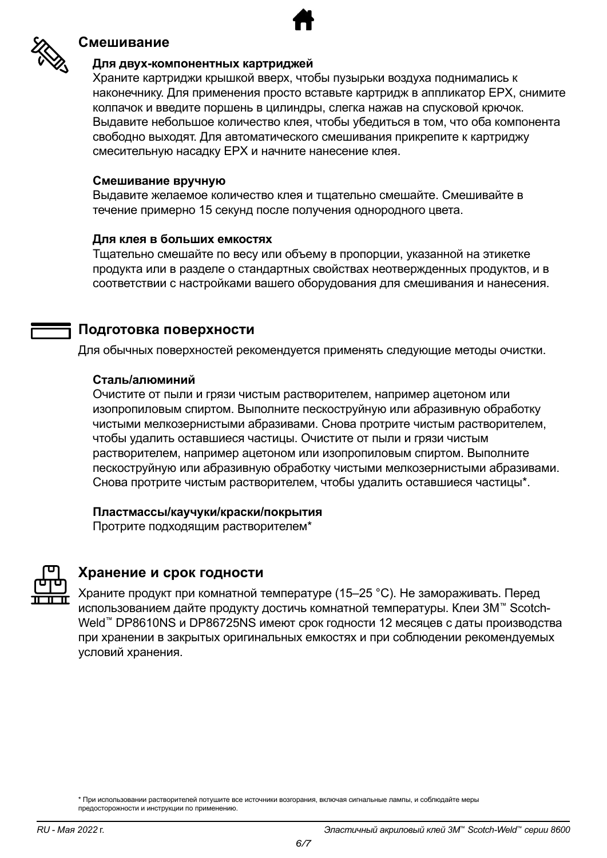

# **Смешивание**

#### **Для двух-компонентных картриджей**

Храните картриджи крышкой вверх, чтобы пузырьки воздуха поднимались к наконечнику. Для применения просто вставьте картридж в аппликатор EPX, снимите колпачок и введите поршень в цилиндры, слегка нажав на спусковой крючок. Выдавите небольшое количество клея, чтобы убедиться в том, что оба компонента свободно выходят. Для автоматического смешивания прикрепите к картриджу смесительную насадку EPX и начните нанесение клея.

#### **Смешивание вручную**

Выдавите желаемое количество клея и тщательно смешайте. Смешивайте в течение примерно 15 секунд после получения однородного цвета.

#### **Для клея в больших емкостях**

Тщательно смешайте по весу или объему в пропорции, указанной на этикетке продукта или в разделе о стандартных свойствах неотвержденных продуктов, и в соответствии с настройками вашего оборудования для смешивания и нанесения.

# **Подготовка поверхности**

Для обычных поверхностей рекомендуется применять следующие методы очистки.

#### **Сталь/алюминий**

Очистите от пыли и грязи чистым растворителем, например ацетоном или изопропиловым спиртом. Выполните пескоструйную или абразивную обработку чистыми мелкозернистыми абразивами. Снова протрите чистым растворителем, чтобы удалить оставшиеся частицы. Очистите от пыли и грязи чистым растворителем, например ацетоном или изопропиловым спиртом. Выполните пескоструйную или абразивную обработку чистыми мелкозернистыми абразивами. Снова протрите чистым растворителем, чтобы удалить оставшиеся частицы\*.

### **Пластмассы/каучуки/краски/покрытия**

Протрите подходящим растворителем\*

# **Хранение и срок годности**

Храните продукт при комнатной температуре (15–25 °C). Не замораживать. Перед использованием дайте продукту достичь комнатной температуры. Клеи 3M™ Scotch-Weld™ DP8610NS и DP86725NS имеют срок годности 12 месяцев с даты производства при хранении в закрытых оригинальных емкостях и при соблюдении рекомендуемых условий хранения.

\* При использовании растворителей потушите все источники возгорания, включая сигнальные лампы, и соблюдайте меры предосторожности и инструкции по применению.